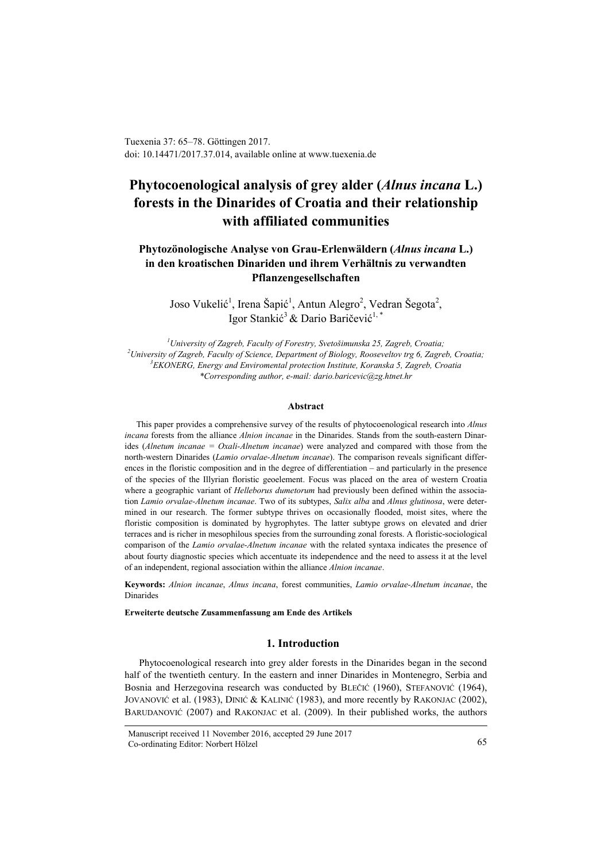Tuexenia 37: 65–78. Göttingen 2017. doi: 10.14471/2017.37.014, available online a[t www.tuexenia.de](http://www.tuexenia.de/)

# **Phytocoenological analysis of grey alder (***Alnus incana* **L.) forests in the Dinarides of Croatia and their relationship with affiliated communities**

# **Phytozönologische Analyse von Grau-Erlenwäldern (***Alnus incana* **L.) in den kroatischen Dinariden und ihrem Verhältnis zu verwandten Pflanzengesellschaften**

Joso Vukelić<sup>1</sup>, Irena Šapić<sup>1</sup>, Antun Alegro<sup>2</sup>, Vedran Šegota<sup>2</sup>, Igor Stankić<sup>3</sup> & Dario Baričević<sup>1,\*</sup>

*University of Zagreb, Faculty of Forestry, Svetošimunska 25, Zagreb, Croatia; University of Zagreb, Faculty of Science, Department of Biology, Rooseveltov trg 6, Zagreb, Croatia; EKONERG, Energy and Enviromental protection Institute, Koranska 5, Zagreb, Croatia \*Corresponding author, e-mail: dario.baricevic@zg.htnet.hr*

#### **Abstract**

This paper provides a comprehensive survey of the results of phytocoenological research into *Alnus incana* forests from the alliance *Alnion incanae* in the Dinarides. Stands from the south-eastern Dinarides (*Alnetum incanae = Oxali-Alnetum incanae*) were analyzed and compared with those from the north-western Dinarides (*Lamio orvalae-Alnetum incanae*). The comparison reveals significant differences in the floristic composition and in the degree of differentiation – and particularly in the presence of the species of the Illyrian floristic geoelement. Focus was placed on the area of western Croatia where a geographic variant of *Helleborus dumetorum* had previously been defined within the association *Lamio orvalae-Alnetum incanae*. Two of its subtypes, *Salix alba* and *Alnus glutinosa*, were determined in our research. The former subtype thrives on occasionally flooded, moist sites, where the floristic composition is dominated by hygrophytes. The latter subtype grows on elevated and drier terraces and is richer in mesophilous species from the surrounding zonal forests. A floristic-sociological comparison of the *Lamio orvalae-Alnetum incanae* with the related syntaxa indicates the presence of about fourty diagnostic species which accentuate its independence and the need to assess it at the level of an independent, regional association within the alliance *Alnion incanae*.

**Keywords:** *Alnion incanae*, *Alnus incana*, forest communities, *Lamio orvalae-Alnetum incanae*, the Dinarides

#### **Erweiterte deutsche Zusammenfassung am Ende des Artikels**

## **1. Introduction**

Phytocoenological research into grey alder forests in the Dinarides began in the second half of the twentieth century. In the eastern and inner Dinarides in Montenegro, Serbia and Bosnia and Herzegovina research was conducted by BLEČIĆ (1960), STEFANOVIĆ (1964), JOVANOVIĆ et al. (1983), DINIĆ & KALINIĆ (1983), and more recently by RAKONJAC (2002), BARUDANOVIĆ (2007) and RAKONJAC et al. (2009). In their published works, the authors

Manuscript received 11 November 2016, accepted 29 June 2017 Co-ordinating Editor: Norbert Hölzel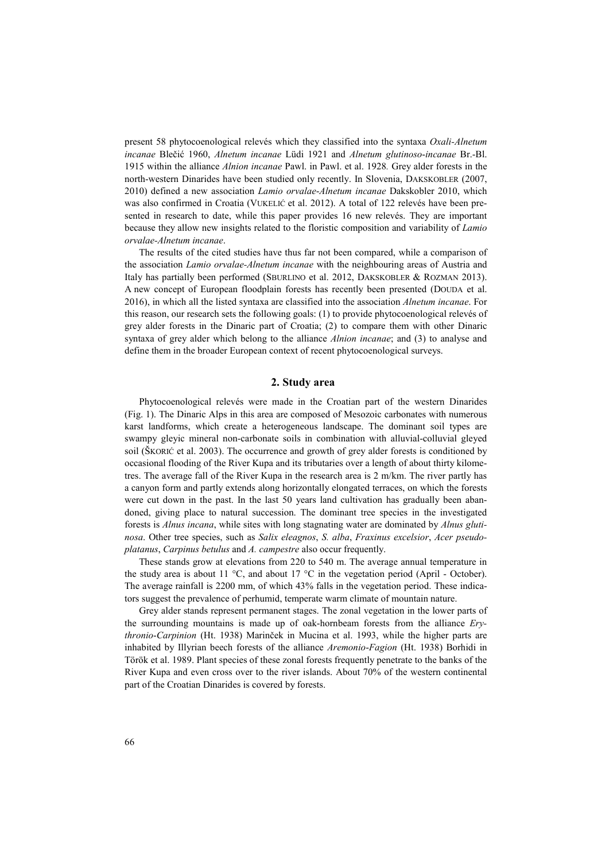present 58 phytocoenological relevés which they classified into the syntaxa *Oxali-Alnetum incanae* Blečić 1960, *Alnetum incanae* Lüdi 1921 and *Alnetum glutinoso*-*incanae* Br.-Bl. 1915 within the alliance *Alnion incanae* Pawl. in Pawl. et al. 1928*.* Grey alder forests in the north-western Dinarides have been studied only recently. In Slovenia, DAKSKOBLER (2007, 2010) defined a new association *Lamio orvalae*-*Alnetum incanae* Dakskobler 2010, which was also confirmed in Croatia (VUKELIĆ et al. 2012). A total of 122 relevés have been presented in research to date, while this paper provides 16 new relevés. They are important because they allow new insights related to the floristic composition and variability of *Lamio orvalae-Alnetum incanae*.

The results of the cited studies have thus far not been compared, while a comparison of the association *Lamio orvalae-Alnetum incanae* with the neighbouring areas of Austria and Italy has partially been performed (SBURLINO et al. 2012, DAKSKOBLER & ROZMAN 2013). A new concept of European floodplain forests has recently been presented (DOUDA et al. 2016), in which all the listed syntaxa are classified into the association *Alnetum incanae*. For this reason, our research sets the following goals: (1) to provide phytocoenological relevés of grey alder forests in the Dinaric part of Croatia; (2) to compare them with other Dinaric syntaxa of grey alder which belong to the alliance *Alnion incanae*; and (3) to analyse and define them in the broader European context of recent phytocoenological surveys.

## **2. Study area**

Phytocoenological relevés were made in the Croatian part of the western Dinarides (Fig. 1). The Dinaric Alps in this area are composed of Mesozoic carbonates with numerous karst landforms, which create a heterogeneous landscape. The dominant soil types are swampy gleyic mineral non-carbonate soils in combination with alluvial-colluvial gleyed soil (ŠKORIĆ et al. 2003). The occurrence and growth of grey alder forests is conditioned by occasional flooding of the River Kupa and its tributaries over a length of about thirty kilometres. The average fall of the River Kupa in the research area is 2 m/km. The river partly has a canyon form and partly extends along horizontally elongated terraces, on which the forests were cut down in the past. In the last 50 years land cultivation has gradually been abandoned, giving place to natural succession. The dominant tree species in the investigated forests is *Alnus incana*, while sites with long stagnating water are dominated by *Alnus glutinosa*. Other tree species, such as *Salix eleagnos*, *S. alba*, *Fraxinus excelsior*, *Acer pseudoplatanus*, *Carpinus betulus* and *A. campestre* also occur frequently.

These stands grow at elevations from 220 to 540 m. The average annual temperature in the study area is about 11 °C, and about 17 °C in the vegetation period (April - October). The average rainfall is 2200 mm, of which 43% falls in the vegetation period. These indicators suggest the prevalence of perhumid, temperate warm climate of mountain nature.

Grey alder stands represent permanent stages. The zonal vegetation in the lower parts of the surrounding mountains is made up of oak-hornbeam forests from the alliance *Erythronio*-*Carpinion* (Ht. 1938) Marinček in Mucina et al. 1993, while the higher parts are inhabited by Illyrian beech forests of the alliance *Aremonio*-*Fagion* (Ht. 1938) Borhidi in Török et al. 1989. Plant species of these zonal forests frequently penetrate to the banks of the River Kupa and even cross over to the river islands. About 70% of the western continental part of the Croatian Dinarides is covered by forests.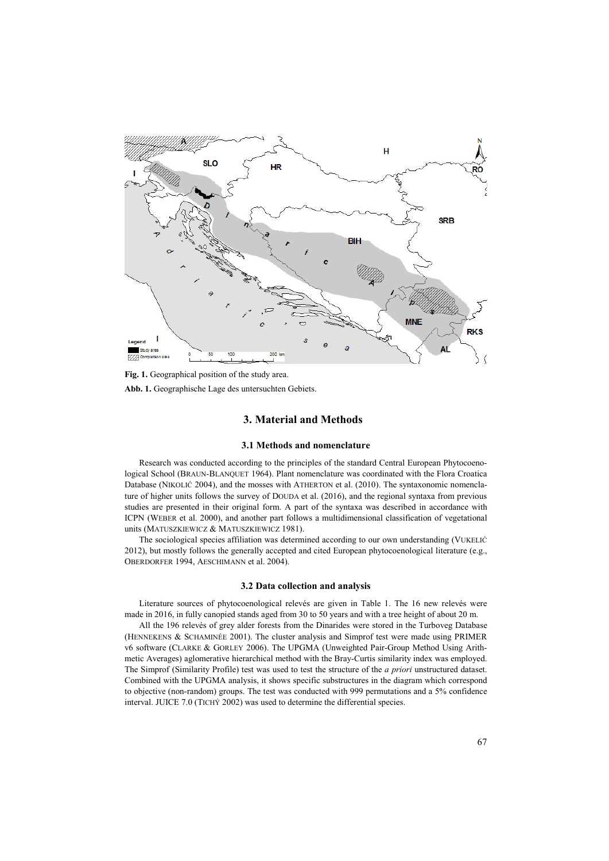

**Fig. 1.** Geographical position of the study area. **Abb. 1.** Geographische Lage des untersuchten Gebiets.

## **3. Material and Methods**

#### **3.1 Methods and nomenclature**

Research was conducted according to the principles of the standard Central European Phytocoenological School (BRAUN-BLANQUET 1964). Plant nomenclature was coordinated with the Flora Croatica Database (NIKOLIĆ 2004), and the mosses with ATHERTON et al. (2010). The syntaxonomic nomenclature of higher units follows the survey of DOUDA et al. (2016), and the regional syntaxa from previous studies are presented in their original form. A part of the syntaxa was described in accordance with ICPN (WEBER et al. 2000), and another part follows a multidimensional classification of vegetational units (MATUSZKIEWICZ & MATUSZKIEWICZ 1981).

The sociological species affiliation was determined according to our own understanding (VUKELIĆ 2012), but mostly follows the generally accepted and cited European phytocoenological literature (e.g., OBERDORFER 1994, AESCHIMANN et al. 2004).

#### **3.2 Data collection and analysis**

Literature sources of phytocoenological relevés are given in Table 1. The 16 new relevés were made in 2016, in fully canopied stands aged from 30 to 50 years and with a tree height of about 20 m.

All the 196 relevés of grey alder forests from the Dinarides were stored in the Turboveg Database (HENNEKENS & SCHAMINÉE 2001). The cluster analysis and Simprof test were made using PRIMER v6 software (CLARKE & GORLEY 2006). The UPGMA (Unweighted Pair-Group Method Using Arithmetic Averages) aglomerative hierarchical method with the Bray-Curtis similarity index was employed. The Simprof (Similarity Profile) test was used to test the structure of the *a priori* unstructured dataset. Combined with the UPGMA analysis, it shows specific substructures in the diagram which correspond to objective (non-random) groups. The test was conducted with 999 permutations and a 5% confidence interval. JUICE 7.0 (TICHÝ 2002) was used to determine the differential species.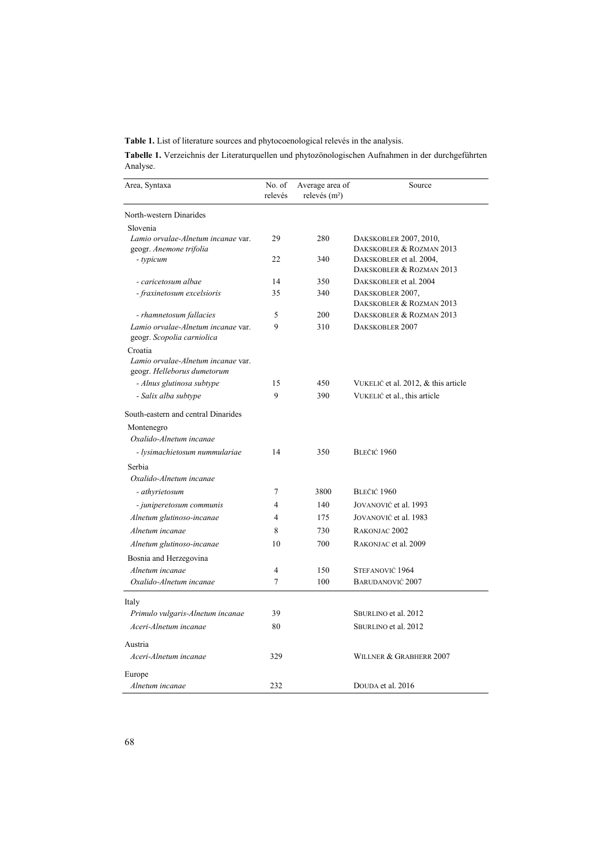# **Table 1.** List of literature sources and phytocoenological relevés in the analysis.

**Tabelle 1.** Verzeichnis der Literaturquellen und phytozönologischen Aufnahmen in der durchgeführten Analyse.

| Area, Syntaxa                                                     | No. of<br>relevés | Average area of<br>relevés (m <sup>2</sup> ) | Source                                       |  |  |  |  |
|-------------------------------------------------------------------|-------------------|----------------------------------------------|----------------------------------------------|--|--|--|--|
| North-western Dinarides                                           |                   |                                              |                                              |  |  |  |  |
| Slovenia                                                          |                   |                                              |                                              |  |  |  |  |
| Lamio orvalae-Alnetum incanae var.                                | 29                | 280                                          | DAKSKOBLER 2007, 2010,                       |  |  |  |  |
| geogr. Anemone trifolia                                           |                   |                                              | DAKSKOBLER & ROZMAN 2013                     |  |  |  |  |
| - typicum                                                         | 22                | 340                                          | DAKSKOBLER et al. 2004,                      |  |  |  |  |
|                                                                   |                   |                                              | DAKSKOBLER & ROZMAN 2013                     |  |  |  |  |
| - caricetosum albae                                               | 14                | 350                                          | DAKSKOBLER et al. 2004                       |  |  |  |  |
| - fraxinetosum excelsioris                                        | 35                | 340                                          | DAKSKOBLER 2007,<br>DAKSKOBLER & ROZMAN 2013 |  |  |  |  |
| - rhamnetosum fallacies                                           | 5                 | 200                                          | DAKSKOBLER & ROZMAN 2013                     |  |  |  |  |
| Lamio orvalae-Alnetum incanae var.                                | 9                 | 310                                          | DAKSKOBLER 2007                              |  |  |  |  |
| geogr. Scopolia carniolica                                        |                   |                                              |                                              |  |  |  |  |
| Croatia                                                           |                   |                                              |                                              |  |  |  |  |
| Lamio orvalae-Alnetum incanae var.<br>geogr. Helleborus dumetorum |                   |                                              |                                              |  |  |  |  |
| - Alnus glutinosa subtype                                         | 15                | 450                                          | VUKELIĆ et al. 2012, & this article          |  |  |  |  |
| - Salix alba subtype                                              | 9                 | 390                                          | VUKELIĆ et al., this article                 |  |  |  |  |
| South-eastern and central Dinarides                               |                   |                                              |                                              |  |  |  |  |
| Montenegro                                                        |                   |                                              |                                              |  |  |  |  |
| Oxalido-Alnetum incanae                                           |                   |                                              |                                              |  |  |  |  |
| - lysimachietosum nummulariae                                     | 14                | 350                                          | Blečić 1960                                  |  |  |  |  |
| Serbia                                                            |                   |                                              |                                              |  |  |  |  |
| Oxalido-Alnetum incanae                                           |                   |                                              |                                              |  |  |  |  |
| - athyrietosum                                                    | 7                 | 3800                                         | <b>BLEČIĆ 1960</b>                           |  |  |  |  |
| - juniperetosum communis                                          | 4                 | 140                                          | JOVANOVIĆ et al. 1993                        |  |  |  |  |
| Alnetum glutinoso-incanae                                         | 4                 | 175                                          | JOVANOVIĆ et al. 1983                        |  |  |  |  |
| Alnetum incanae                                                   | 8                 | 730                                          | RAKONJAC <sub>2002</sub>                     |  |  |  |  |
| Alnetum glutinoso-incanae                                         | 10                | 700                                          | RAKONJAC et al. 2009                         |  |  |  |  |
| Bosnia and Herzegovina                                            |                   |                                              |                                              |  |  |  |  |
| Alnetum incanae                                                   | 4                 | 150                                          | STEFANOVIĆ 1964                              |  |  |  |  |
| Oxalido-Alnetum incanae                                           | 7                 | 100                                          | BARUDANOVIĆ 2007                             |  |  |  |  |
| Italy                                                             |                   |                                              |                                              |  |  |  |  |
| Primulo vulgaris-Alnetum incanae                                  | 39                |                                              | SBURLINO et al. 2012                         |  |  |  |  |
| Aceri-Alnetum incanae                                             | 80                |                                              | SBURLINO et al. 2012                         |  |  |  |  |
| Austria                                                           |                   |                                              |                                              |  |  |  |  |
| Aceri-Alnetum incanae                                             | 329               |                                              | WILLNER & GRABHERR 2007                      |  |  |  |  |
| Europe                                                            |                   |                                              |                                              |  |  |  |  |
| Alnetum incanae                                                   | 232               |                                              | DOUDA et al. 2016                            |  |  |  |  |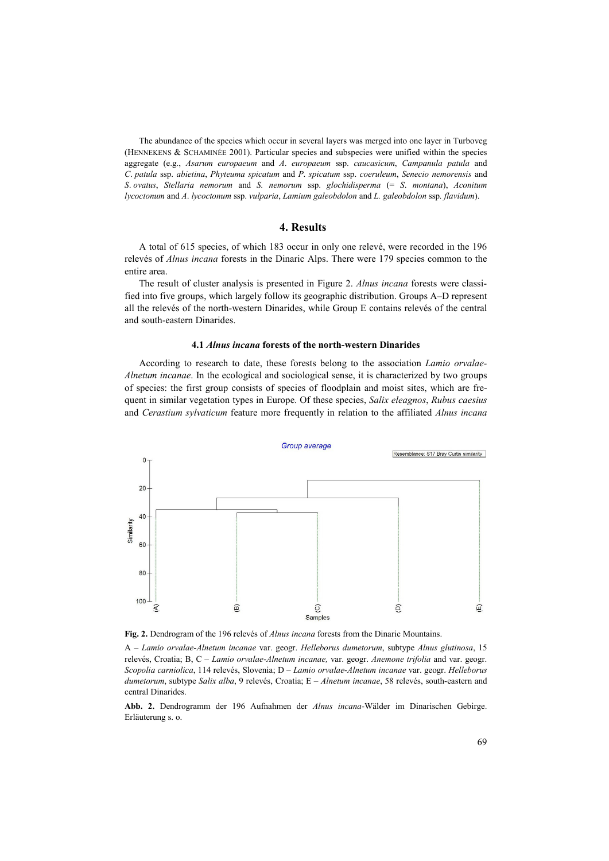The abundance of the species which occur in several layers was merged into one layer in Turboveg (HENNEKENS & SCHAMINÉE 2001). Particular species and subspecies were unified within the species aggregate (e.g., *Asarum europaeum* and *A*. *europaeum* ssp. *caucasicum*, *Campanula patula* and *C*. *patula* ssp. *abietina*, *Phyteuma spicatum* and *P*. *spicatum* ssp. *coeruleum*, *Senecio nemorensis* and *S*. *ovatus*, *Stellaria nemorum* and *S. nemorum* ssp. *glochidisperma* (= *S*. *montana*), *Aconitum lycoctonum* and *A*. *lycoctonum* ssp. *vulparia*, *Lamium galeobdolon* and *L. galeobdolon* ssp*. flavidum*).

## **4. Results**

A total of 615 species, of which 183 occur in only one relevé, were recorded in the 196 relevés of *Alnus incana* forests in the Dinaric Alps. There were 179 species common to the entire area.

The result of cluster analysis is presented in Figure 2. *Alnus incana* forests were classified into five groups, which largely follow its geographic distribution. Groups A–D represent all the relevés of the north-western Dinarides, while Group E contains relevés of the central and south-eastern Dinarides.

#### **4.1** *Alnus incana* **forests of the north-western Dinarides**

According to research to date, these forests belong to the association *Lamio orvalae-Alnetum incanae*. In the ecological and sociological sense, it is characterized by two groups of species: the first group consists of species of floodplain and moist sites, which are frequent in similar vegetation types in Europe. Of these species, *Salix eleagnos*, *Rubus caesius*  and *Cerastium sylvaticum* feature more frequently in relation to the affiliated *Alnus incana*



**Fig. 2.** Dendrogram of the 196 relevés of *Alnus incana* forests from the Dinaric Mountains.

A – *Lamio orvalae*-*Alnetum incanae* var. geogr. *Helleborus dumetorum*, subtype *Alnus glutinosa*, 15 relevés, Croatia; B, C – *Lamio orvalae*-*Alnetum incanae,* var. geogr. *Anemone trifolia* and var. geogr. *Scopolia carniolica*, 114 relevés, Slovenia; D – *Lamio orvalae*-*Alnetum incanae* var. geogr. *Helleborus dumetorum*, subtype *Salix alba*, 9 relevés, Croatia; E – *Alnetum incanae*, 58 relevés, south-eastern and central Dinarides.

**Abb. 2.** Dendrogramm der 196 Aufnahmen der *Alnus incana*-Wälder im Dinarischen Gebirge. Erläuterung s. o.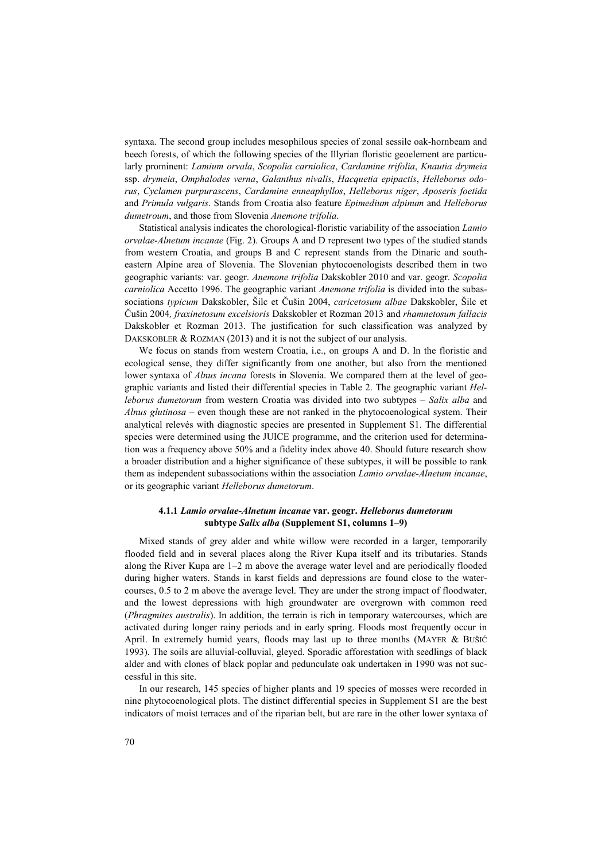syntaxa. The second group includes mesophilous species of zonal sessile oak-hornbeam and beech forests, of which the following species of the Illyrian floristic geoelement are particularly prominent: *Lamium orvala*, *Scopolia carniolica*, *Cardamine trifolia*, *Knautia drymeia*  ssp. *drymeia*, *Omphalodes verna*, *Galanthus nivalis*, *Hacquetia epipactis*, *Helleborus odorus*, *Cyclamen purpurascens*, *Cardamine enneaphyllos*, *Helleborus niger*, *Aposeris foetida*  and *Primula vulgaris*. Stands from Croatia also feature *Epimedium alpinum* and *Helleborus dumetroum*, and those from Slovenia *Anemone trifolia*.

Statistical analysis indicates the chorological-floristic variability of the association *Lamio orvalae*-*Alnetum incanae* (Fig. 2). Groups A and D represent two types of the studied stands from western Croatia, and groups B and C represent stands from the Dinaric and southeastern Alpine area of Slovenia. The Slovenian phytocoenologists described them in two geographic variants: var. geogr. *Anemone trifolia* Dakskobler 2010 and var. geogr. *Scopolia carniolica* Accetto 1996. The geographic variant *Anemone trifolia* is divided into the subassociations *typicum* Dakskobler, Šilc et Čušin 2004, *caricetosum albae* Dakskobler, Šilc et Čušin 2004*, fraxinetosum excelsioris* Dakskobler et Rozman 2013 and *rhamnetosum fallacis* Dakskobler et Rozman 2013. The justification for such classification was analyzed by DAKSKOBLER & ROZMAN (2013) and it is not the subject of our analysis.

We focus on stands from western Croatia, i.e., on groups A and D. In the floristic and ecological sense, they differ significantly from one another, but also from the mentioned lower syntaxa of *Alnus incana* forests in Slovenia. We compared them at the level of geographic variants and listed their differential species in Table 2. The geographic variant *Helleborus dumetorum* from western Croatia was divided into two subtypes – *Salix alba* and *Alnus glutinosa* – even though these are not ranked in the phytocoenological system. Their analytical relevés with diagnostic species are presented in Supplement S1. The differential species were determined using the JUICE programme, and the criterion used for determination was a frequency above 50% and a fidelity index above 40. Should future research show a broader distribution and a higher significance of these subtypes, it will be possible to rank them as independent subassociations within the association *Lamio orvalae-Alnetum incanae*, or its geographic variant *Helleborus dumetorum*.

## **4.1.1** *Lamio orvalae-Alnetum incanae* **var. geogr.** *Helleborus dumetorum* **subtype** *Salix alba* **(Supplement S1, columns 1–9)**

Mixed stands of grey alder and white willow were recorded in a larger, temporarily flooded field and in several places along the River Kupa itself and its tributaries. Stands along the River Kupa are 1–2 m above the average water level and are periodically flooded during higher waters. Stands in karst fields and depressions are found close to the watercourses, 0.5 to 2 m above the average level. They are under the strong impact of floodwater, and the lowest depressions with high groundwater are overgrown with common reed (*Phragmites australis*). In addition, the terrain is rich in temporary watercourses, which are activated during longer rainy periods and in early spring. Floods most frequently occur in April. In extremely humid years, floods may last up to three months (MAYER & BUŠIĆ 1993). The soils are alluvial-colluvial, gleyed. Sporadic afforestation with seedlings of black alder and with clones of black poplar and pedunculate oak undertaken in 1990 was not successful in this site.

In our research, 145 species of higher plants and 19 species of mosses were recorded in nine phytocoenological plots. The distinct differential species in Supplement S1 are the best indicators of moist terraces and of the riparian belt, but are rare in the other lower syntaxa of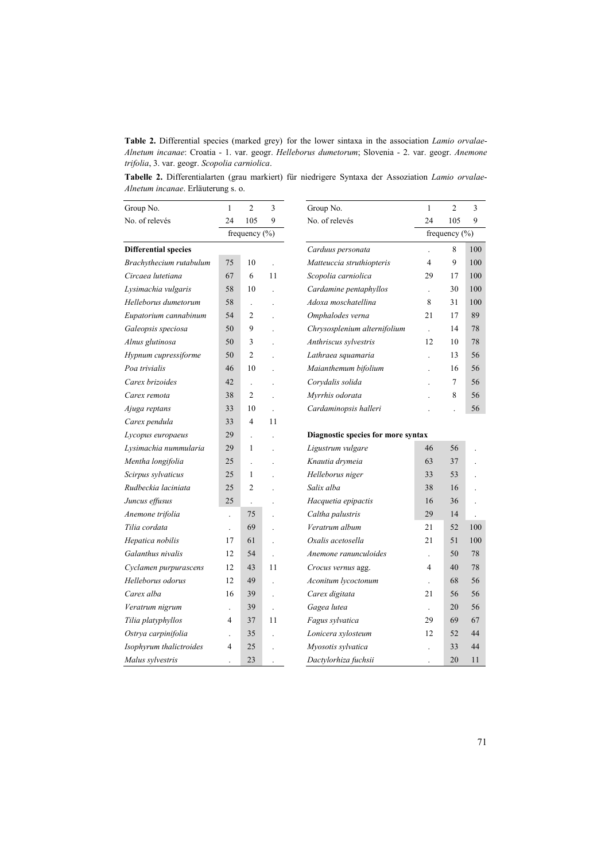**Table 2.** Differential species (marked grey) for the lower sintaxa in the association *Lamio orvalae*-*Alnetum incanae*: Croatia - 1. var. geogr. *Helleborus dumetorum*; Slovenia - 2. var. geogr. *Anemone trifolia*, 3. var. geogr. *Scopolia carniolica*.

**Tabelle 2.** Differentialarten (grau markiert) für niedrigere Syntaxa der Assoziation *Lamio orvalae*-*Alnetum incanae*. Erläuterung s. o.

| Group No.                   | $\mathbf{1}$         | $\overline{c}$             | $\mathfrak{Z}$       | Group No.                          | $\mathbf{1}$         | $\overline{c}$       | 3<br>9         |
|-----------------------------|----------------------|----------------------------|----------------------|------------------------------------|----------------------|----------------------|----------------|
| No. of relevés              | 24                   | No. of relevés<br>105<br>9 |                      |                                    | 24                   | 105<br>frequency (%) |                |
| frequency (%)               |                      |                            |                      |                                    |                      |                      |                |
| <b>Differential species</b> |                      |                            |                      | Carduus personata                  | $\ddot{\phantom{a}}$ | 8                    | 100            |
| Brachythecium rutabulum     | 75                   | 10                         |                      | Matteuccia struthiopteris          | $\overline{4}$       | 9                    | 100            |
| Circaea lutetiana           | 67                   | 6                          | 11                   | Scopolia carniolica                | 29                   | 17                   | 100            |
| Lysimachia vulgaris         | 58                   | 10                         |                      | Cardamine pentaphyllos             | $\ddot{\phantom{a}}$ | 30                   | 100            |
| Helleborus dumetorum        | 58                   | $\ddot{\phantom{0}}$       |                      | Adoxa moschatellina                | 8                    | 31                   | 100            |
| Eupatorium cannabinum       | 54                   | $\overline{2}$             |                      | Omphalodes verna                   | 21                   | 17                   | 89             |
| Galeopsis speciosa          | 50                   | 9                          |                      | Chrysosplenium alternifolium       | $\cdot$              | 14                   | 78             |
| Alnus glutinosa             | 50                   | 3                          |                      | Anthriscus sylvestris              | 12                   | 10                   | 78             |
| Hypnum cupressiforme        | 50                   | $\overline{2}$             |                      | Lathraea squamaria                 | $\overline{a}$       | 13                   | 56             |
| Poa trivialis               | 46                   | 10                         |                      | Maianthemum bifolium               | $\overline{a}$       | 16                   | 56             |
| Carex brizoides             | 42                   | $\ddot{\phantom{0}}$       |                      | Corydalis solida                   |                      | 7                    | 56             |
| Carex remota                | 38                   | $\overline{2}$             |                      | Myrrhis odorata                    |                      | 8                    | 56             |
| Ajuga reptans               | 33                   | 10                         | $\ddot{\phantom{a}}$ | Cardaminopsis halleri              |                      |                      | 56             |
| Carex pendula               | 33                   | $\overline{4}$             | 11                   |                                    |                      |                      |                |
| Lycopus europaeus           | 29                   | $\overline{a}$             |                      | Diagnostic species for more syntax |                      |                      |                |
| Lysimachia nummularia       | 29                   | 1                          |                      | Ligustrum vulgare                  | 46                   | 56                   | $\cdot$        |
| Mentha longifolia           | 25                   |                            |                      | Knautia drymeia                    | 63                   | 37                   |                |
| Scirpus sylvaticus          | 25                   | 1                          |                      | Helleborus niger                   | 33                   | 53                   | $\overline{a}$ |
| Rudbeckia laciniata         | 25                   | $\overline{2}$             |                      | Salix alba                         | 38                   | 16                   |                |
| Juncus effusus              | 25                   | $\ddot{\phantom{0}}$       |                      | Hacquetia epipactis                | 16                   | 36                   |                |
| Anemone trifolia            | $\ddot{\phantom{0}}$ | 75                         |                      | Caltha palustris                   | 29                   | 14                   |                |
| Tilia cordata               | $\ddot{\phantom{0}}$ | 69                         |                      | Veratrum album                     | 21                   | 52                   | 100            |
| Hepatica nobilis            | 17                   | 61                         |                      | Oxalis acetosella                  | 21                   | 51                   | 100            |
| Galanthus nivalis           | 12                   | 54                         | $\ddot{\phantom{0}}$ | Anemone ranunculoides              |                      | 50                   | 78             |
| Cyclamen purpurascens       | 12                   | 43                         | 11                   | Crocus vernus agg.                 | $\overline{4}$       | 40                   | 78             |
| Helleborus odorus           | 12                   | 49                         | $\overline{a}$       | Aconitum lycoctonum                | $\cdot$              | 68                   | 56             |
| Carex alba                  | 16                   | 39                         |                      | Carex digitata                     | 21                   | 56                   | 56             |
| Veratrum nigrum             |                      | 39                         | $\ddot{\phantom{0}}$ | Gagea lutea                        |                      | 20                   | 56             |
| Tilia platyphyllos          | $\overline{4}$       | 37                         | 11                   | Fagus sylvatica                    | 29                   | 69                   | 67             |
| Ostrya carpinifolia         | $\ddot{\phantom{0}}$ | 35                         |                      | Lonicera xylosteum                 | 12                   | 52                   | 44             |
| Isophyrum thalictroides     | $\overline{4}$       | 25                         |                      | Myosotis sylvatica                 | $\ddot{\phantom{0}}$ | 33                   | 44             |
| Malus sylvestris            | $\ddot{\phantom{0}}$ | 23                         |                      | Dactylorhiza fuchsii               | $\ddot{\phantom{0}}$ | 20                   | 11             |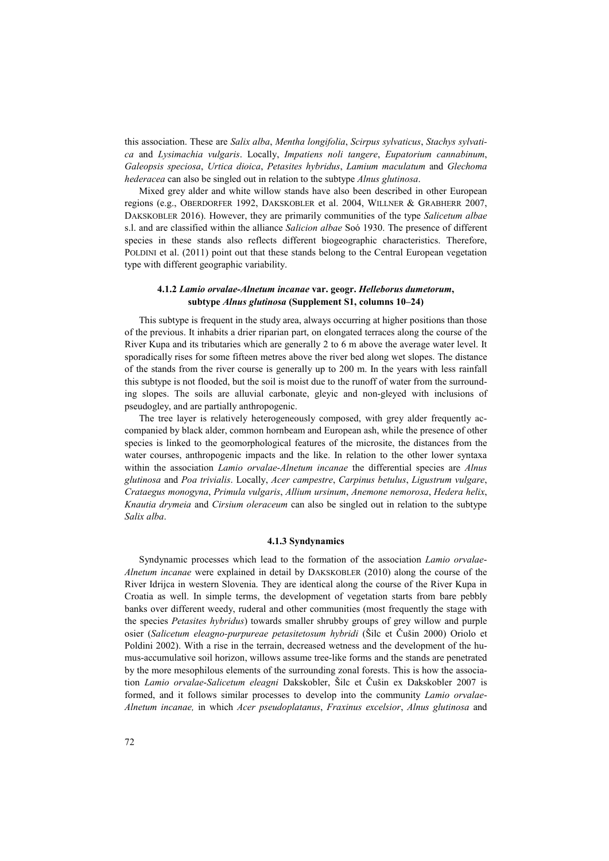this association. These are *Salix alba*, *Mentha longifolia*, *Scirpus sylvaticus*, *Stachys sylvatica* and *Lysimachia vulgaris*. Locally, *Impatiens noli tangere*, *Eupatorium cannabinum*, *Galeopsis speciosa*, *Urtica dioica*, *Petasites hybridus*, *Lamium maculatum* and *Glechoma hederacea* can also be singled out in relation to the subtype *Alnus glutinosa*.

Mixed grey alder and white willow stands have also been described in other European regions (e.g., OBERDORFER 1992, DAKSKOBLER et al. 2004, WILLNER & GRABHERR 2007, DAKSKOBLER 2016). However, they are primarily communities of the type *Salicetum albae* s.l. and are classified within the alliance *Salicion albae* Soó 1930. The presence of different species in these stands also reflects different biogeographic characteristics. Therefore, POLDINI et al. (2011) point out that these stands belong to the Central European vegetation type with different geographic variability.

## **4.1.2** *Lamio orvalae-Alnetum incanae* **var. geogr.** *Helleborus dumetorum***, subtype** *Alnus glutinosa* **(Supplement S1, columns 10–24)**

This subtype is frequent in the study area, always occurring at higher positions than those of the previous. It inhabits a drier riparian part, on elongated terraces along the course of the River Kupa and its tributaries which are generally 2 to 6 m above the average water level. It sporadically rises for some fifteen metres above the river bed along wet slopes. The distance of the stands from the river course is generally up to 200 m. In the years with less rainfall this subtype is not flooded, but the soil is moist due to the runoff of water from the surrounding slopes. The soils are alluvial carbonate, gleyic and non-gleyed with inclusions of pseudogley, and are partially anthropogenic.

The tree layer is relatively heterogeneously composed, with grey alder frequently accompanied by black alder, common hornbeam and European ash, while the presence of other species is linked to the geomorphological features of the microsite, the distances from the water courses, anthropogenic impacts and the like. In relation to the other lower syntaxa within the association *Lamio orvalae*-*Alnetum incanae* the differential species are *Alnus glutinosa* and *Poa trivialis*. Locally, *Acer campestre*, *Carpinus betulus*, *Ligustrum vulgare*, *Crataegus monogyna*, *Primula vulgaris*, *Allium ursinum*, *Anemone nemorosa*, *Hedera helix*, *Knautia drymeia* and *Cirsium oleraceum* can also be singled out in relation to the subtype *Salix alba*.

#### **4.1.3 Syndynamics**

Syndynamic processes which lead to the formation of the association *Lamio orvalae*-*Alnetum incanae* were explained in detail by DAKSKOBLER (2010) along the course of the River Idrijca in western Slovenia. They are identical along the course of the River Kupa in Croatia as well. In simple terms, the development of vegetation starts from bare pebbly banks over different weedy, ruderal and other communities (most frequently the stage with the species *Petasites hybridus*) towards smaller shrubby groups of grey willow and purple osier (*Salicetum eleagno-purpureae petasitetosum hybridi* (Šilc et Čušin 2000) Oriolo et Poldini 2002). With a rise in the terrain, decreased wetness and the development of the humus-accumulative soil horizon, willows assume tree-like forms and the stands are penetrated by the more mesophilous elements of the surrounding zonal forests. This is how the association *Lamio orvalae*-*Salicetum eleagni* Dakskobler, Šilc et Čušin ex Dakskobler 2007 is formed, and it follows similar processes to develop into the community *Lamio orvalae*-*Alnetum incanae,* in which *Acer pseudoplatanus*, *Fraxinus excelsior*, *Alnus glutinosa* and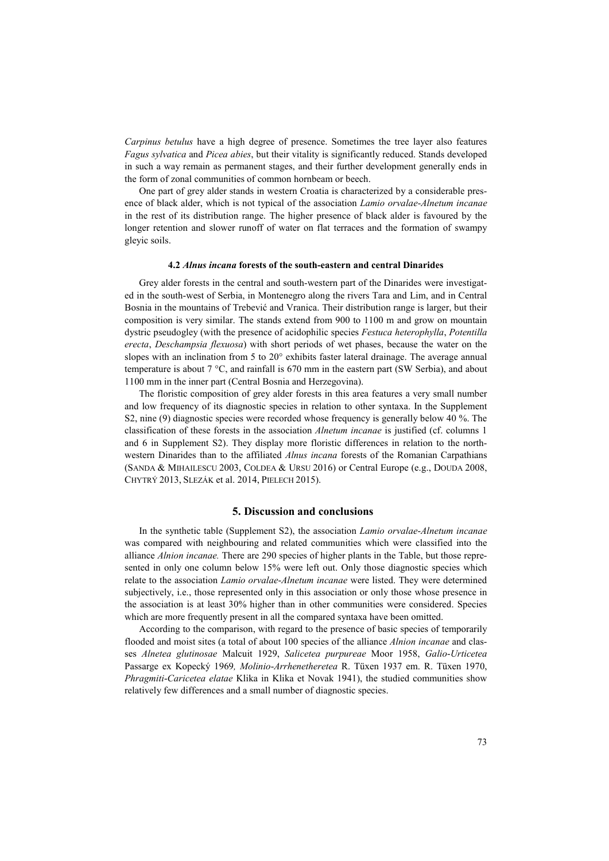*Carpinus betulus* have a high degree of presence. Sometimes the tree layer also features *Fagus sylvatica* and *Picea abies*, but their vitality is significantly reduced. Stands developed in such a way remain as permanent stages, and their further development generally ends in the form of zonal communities of common hornbeam or beech.

One part of grey alder stands in western Croatia is characterized by a considerable presence of black alder, which is not typical of the association *Lamio orvalae*-*Alnetum incanae*  in the rest of its distribution range. The higher presence of black alder is favoured by the longer retention and slower runoff of water on flat terraces and the formation of swampy gleyic soils.

### **4.2** *Alnus incana* **forests of the south-eastern and central Dinarides**

Grey alder forests in the central and south-western part of the Dinarides were investigated in the south-west of Serbia, in Montenegro along the rivers Tara and Lim, and in Central Bosnia in the mountains of Trebević and Vranica. Their distribution range is larger, but their composition is very similar. The stands extend from 900 to 1100 m and grow on mountain dystric pseudogley (with the presence of acidophilic species *Festuca heterophylla*, *Potentilla erecta*, *Deschampsia flexuosa*) with short periods of wet phases, because the water on the slopes with an inclination from 5 to 20° exhibits faster lateral drainage. The average annual temperature is about 7 °C, and rainfall is 670 mm in the eastern part (SW Serbia), and about 1100 mm in the inner part (Central Bosnia and Herzegovina).

The floristic composition of grey alder forests in this area features a very small number and low frequency of its diagnostic species in relation to other syntaxa. In the Supplement S2, nine (9) diagnostic species were recorded whose frequency is generally below 40 %. The classification of these forests in the association *Alnetum incanae* is justified (cf. columns 1 and 6 in Supplement S2). They display more floristic differences in relation to the northwestern Dinarides than to the affiliated *Alnus incana* forests of the Romanian Carpathians (SANDA & MIHAILESCU 2003, COLDEA & URSU 2016) or Central Europe (e.g., DOUDA 2008, CHYTRÝ 2013, SLEZÁK et al. 2014, PIELECH 2015).

#### **5. Discussion and conclusions**

In the synthetic table (Supplement S2), the association *Lamio orvalae*-*Alnetum incanae* was compared with neighbouring and related communities which were classified into the alliance *Alnion incanae.* There are 290 species of higher plants in the Table, but those represented in only one column below 15% were left out. Only those diagnostic species which relate to the association *Lamio orvalae*-*Alnetum incanae* were listed. They were determined subjectively, i.e., those represented only in this association or only those whose presence in the association is at least 30% higher than in other communities were considered. Species which are more frequently present in all the compared syntaxa have been omitted.

According to the comparison, with regard to the presence of basic species of temporarily flooded and moist sites (a total of about 100 species of the alliance *Alnion incanae* and classes *Alnetea glutinosae* Malcuit 1929, *Salicetea purpureae* Moor 1958, *Galio*-*Urticetea* Passarge ex Kopecký 1969*, Molinio*-*Arrhenetheretea* R. Tüxen 1937 em. R. Tüxen 1970, *Phragmiti*-*Caricetea elatae* Klika in Klika et Novak 1941), the studied communities show relatively few differences and a small number of diagnostic species.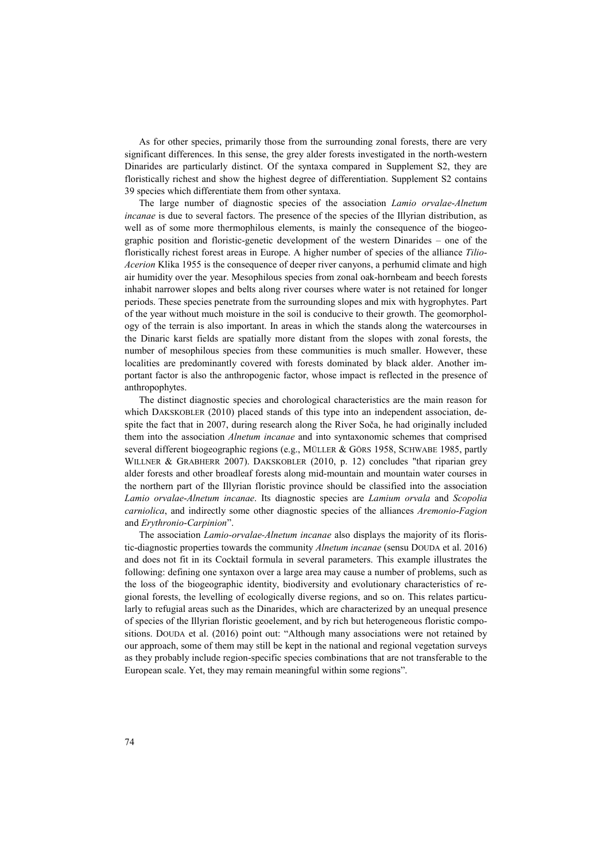As for other species, primarily those from the surrounding zonal forests, there are very significant differences. In this sense, the grey alder forests investigated in the north-western Dinarides are particularly distinct. Of the syntaxa compared in Supplement S2, they are floristically richest and show the highest degree of differentiation. Supplement S2 contains 39 species which differentiate them from other syntaxa.

The large number of diagnostic species of the association *Lamio orvalae*-*Alnetum incanae* is due to several factors. The presence of the species of the Illyrian distribution, as well as of some more thermophilous elements, is mainly the consequence of the biogeographic position and floristic-genetic development of the western Dinarides – one of the floristically richest forest areas in Europe. A higher number of species of the alliance *Tilio*-*Acerion* Klika 1955 is the consequence of deeper river canyons, a perhumid climate and high air humidity over the year. Mesophilous species from zonal oak-hornbeam and beech forests inhabit narrower slopes and belts along river courses where water is not retained for longer periods. These species penetrate from the surrounding slopes and mix with hygrophytes. Part of the year without much moisture in the soil is conducive to their growth. The geomorphology of the terrain is also important. In areas in which the stands along the watercourses in the Dinaric karst fields are spatially more distant from the slopes with zonal forests, the number of mesophilous species from these communities is much smaller. However, these localities are predominantly covered with forests dominated by black alder. Another important factor is also the anthropogenic factor, whose impact is reflected in the presence of anthropophytes.

The distinct diagnostic species and chorological characteristics are the main reason for which DAKSKOBLER (2010) placed stands of this type into an independent association, despite the fact that in 2007, during research along the River Soča, he had originally included them into the association *Alnetum incanae* and into syntaxonomic schemes that comprised several different biogeographic regions (e.g., MÜLLER & GÖRS 1958, SCHWABE 1985, partly WILLNER & GRABHERR 2007). DAKSKOBLER (2010, p. 12) concludes "that riparian grey alder forests and other broadleaf forests along mid-mountain and mountain water courses in the northern part of the Illyrian floristic province should be classified into the association *Lamio orvalae*-*Alnetum incanae*. Its diagnostic species are *Lamium orvala* and *Scopolia carniolica*, and indirectly some other diagnostic species of the alliances *Aremonio*-*Fagion* and *Erythronio*-*Carpinion*".

The association *Lamio-orvalae-Alnetum incanae* also displays the majority of its floristic-diagnostic properties towards the community *Alnetum incanae* (sensu DOUDA et al. 2016) and does not fit in its Cocktail formula in several parameters. This example illustrates the following: defining one syntaxon over a large area may cause a number of problems, such as the loss of the biogeographic identity, biodiversity and evolutionary characteristics of regional forests, the levelling of ecologically diverse regions, and so on. This relates particularly to refugial areas such as the Dinarides, which are characterized by an unequal presence of species of the Illyrian floristic geoelement, and by rich but heterogeneous floristic compositions. DOUDA et al. (2016) point out: "Although many associations were not retained by our approach, some of them may still be kept in the national and regional vegetation surveys as they probably include region-specific species combinations that are not transferable to the European scale. Yet, they may remain meaningful within some regions".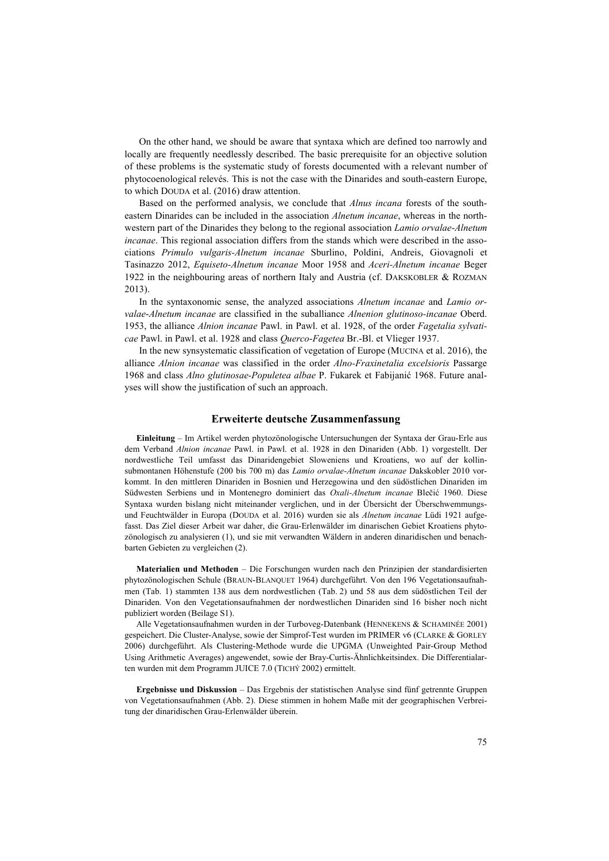On the other hand, we should be aware that syntaxa which are defined too narrowly and locally are frequently needlessly described. The basic prerequisite for an objective solution of these problems is the systematic study of forests documented with a relevant number of phytocoenological relevés. This is not the case with the Dinarides and south-eastern Europe, to which DOUDA et al. (2016) draw attention.

Based on the performed analysis, we conclude that *Alnus incana* forests of the southeastern Dinarides can be included in the association *Alnetum incanae*, whereas in the northwestern part of the Dinarides they belong to the regional association *Lamio orvalae*-*Alnetum incanae*. This regional association differs from the stands which were described in the associations *Primulo vulgaris-Alnetum incanae* Sburlino, Poldini, Andreis, Giovagnoli et Tasinazzo 2012, *Equiseto-Alnetum incanae* Moor 1958 and *Aceri-Alnetum incanae* Beger 1922 in the neighbouring areas of northern Italy and Austria (cf. DAKSKOBLER & ROZMAN 2013).

In the syntaxonomic sense, the analyzed associations *Alnetum incanae* and *Lamio orvalae*-*Alnetum incanae* are classified in the suballiance *Alnenion glutinoso-incanae* Oberd. 1953, the alliance *Alnion incanae* Pawl. in Pawl. et al. 1928, of the order *Fagetalia sylvaticae* Pawl. in Pawl. et al. 1928 and class *Querco*-*Fagetea* Br.-Bl. et Vlieger 1937.

In the new synsystematic classification of vegetation of Europe (MUCINA et al. 2016), the alliance *Alnion incanae* was classified in the order *Alno-Fraxinetalia excelsioris* Passarge 1968 and class *Alno glutinosae-Populetea albae* P. Fukarek et Fabijanić 1968. Future analyses will show the justification of such an approach.

## **Erweiterte deutsche Zusammenfassung**

**Einleitung** – Im Artikel werden phytozönologische Untersuchungen der Syntaxa der Grau-Erle aus dem Verband *Alnion incanae* Pawl. in Pawl. et al. 1928 in den Dinariden (Abb. 1) vorgestellt. Der nordwestliche Teil umfasst das Dinaridengebiet Sloweniens und Kroatiens, wo auf der kollinsubmontanen Höhenstufe (200 bis 700 m) das *Lamio orvalae-Alnetum incanae* Dakskobler 2010 vorkommt. In den mittleren Dinariden in Bosnien und Herzegowina und den südöstlichen Dinariden im Südwesten Serbiens und in Montenegro dominiert das *Oxali-Alnetum incanae* Blečić 1960. Diese Syntaxa wurden bislang nicht miteinander verglichen, und in der Übersicht der Überschwemmungsund Feuchtwälder in Europa (DOUDA et al. 2016) wurden sie als *Alnetum incanae* Lüdi 1921 aufgefasst. Das Ziel dieser Arbeit war daher, die Grau-Erlenwälder im dinarischen Gebiet Kroatiens phytozönologisch zu analysieren (1), und sie mit verwandten Wäldern in anderen dinaridischen und benachbarten Gebieten zu vergleichen (2).

**Materialien und Methoden** – Die Forschungen wurden nach den Prinzipien der standardisierten phytozönologischen Schule (BRAUN-BLANQUET 1964) durchgeführt. Von den 196 Vegetationsaufnahmen (Tab. 1) stammten 138 aus dem nordwestlichen (Tab. 2) und 58 aus dem südöstlichen Teil der Dinariden. Von den Vegetationsaufnahmen der nordwestlichen Dinariden sind 16 bisher noch nicht publiziert worden (Beilage S1).

Alle Vegetationsaufnahmen wurden in der Turboveg-Datenbank (HENNEKENS & SCHAMINÉE 2001) gespeichert. Die Cluster-Analyse, sowie der Simprof-Test wurden im PRIMER v6 (CLARKE & GORLEY 2006) durchgeführt. Als Clustering-Methode wurde die UPGMA (Unweighted Pair-Group Method Using Arithmetic Averages) angewendet, sowie der Bray-Curtis-Ähnlichkeitsindex. Die Differentialarten wurden mit dem Programm JUICE 7.0 (TICHÝ 2002) ermittelt.

**Ergebnisse und Diskussion** – Das Ergebnis der statistischen Analyse sind fünf getrennte Gruppen von Vegetationsaufnahmen (Abb. 2). Diese stimmen in hohem Maße mit der geographischen Verbreitung der dinaridischen Grau-Erlenwälder überein.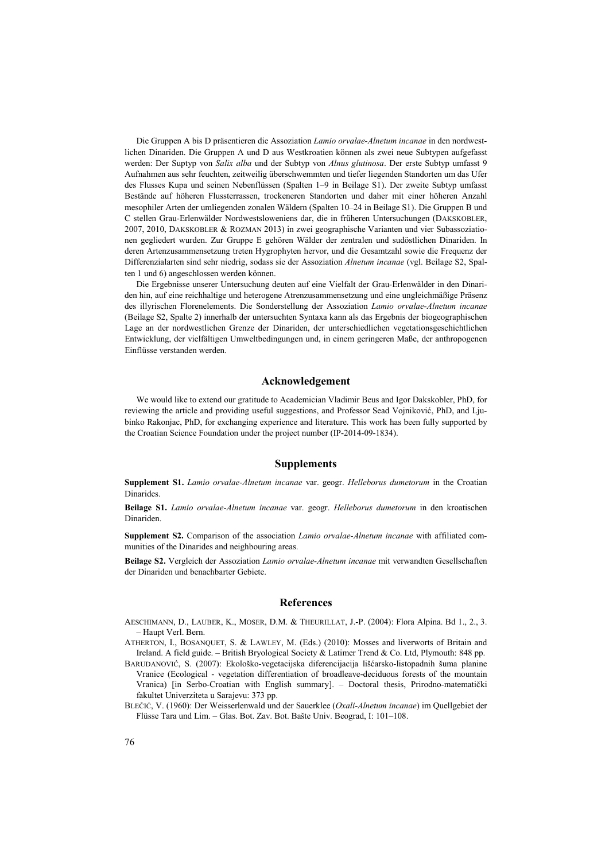Die Gruppen A bis D präsentieren die Assoziation *Lamio orvalae-Alnetum incanae* in den nordwestlichen Dinariden. Die Gruppen A und D aus Westkroatien können als zwei neue Subtypen aufgefasst werden: Der Suptyp von *Salix alba* und der Subtyp von *Alnus glutinosa*. Der erste Subtyp umfasst 9 Aufnahmen aus sehr feuchten, zeitweilig überschwemmten und tiefer liegenden Standorten um das Ufer des Flusses Kupa und seinen Nebenflüssen (Spalten 1–9 in Beilage S1). Der zweite Subtyp umfasst Bestände auf höheren Flussterrassen, trockeneren Standorten und daher mit einer höheren Anzahl mesophiler Arten der umliegenden zonalen Wäldern (Spalten 10–24 in Beilage S1). Die Gruppen B und C stellen Grau-Erlenwälder Nordwestsloweniens dar, die in früheren Untersuchungen (DAKSKOBLER, 2007, 2010, DAKSKOBLER & ROZMAN 2013) in zwei geographische Varianten und vier Subassoziationen gegliedert wurden. Zur Gruppe E gehören Wälder der zentralen und sudöstlichen Dinariden. In deren Artenzusammensetzung treten Hygrophyten hervor, und die Gesamtzahl sowie die Frequenz der Differenzialarten sind sehr niedrig, sodass sie der Assoziation *Alnetum incanae* (vgl. Beilage S2, Spalten 1 und 6) angeschlossen werden können.

Die Ergebnisse unserer Untersuchung deuten auf eine Vielfalt der Grau-Erlenwälder in den Dinariden hin, auf eine reichhaltige und heterogene Atrenzusammensetzung und eine ungleichmäßige Präsenz des illyrischen Florenelements. Die Sonderstellung der Assoziation *Lamio orvalae*-*Alnetum incanae* (Beilage S2, Spalte 2) innerhalb der untersuchten Syntaxa kann als das Ergebnis der biogeographischen Lage an der nordwestlichen Grenze der Dinariden, der unterschiedlichen vegetationsgeschichtlichen Entwicklung, der vielfältigen Umweltbedingungen und, in einem geringeren Maße, der anthropogenen Einflüsse verstanden werden.

#### **Acknowledgement**

We would like to extend our gratitude to Academician Vladimir Beus and Igor Dakskobler, PhD, for reviewing the article and providing useful suggestions, and Professor Sead Vojniković, PhD, and Ljubinko Rakonjac, PhD, for exchanging experience and literature. This work has been fully supported by the Croatian Science Foundation under the project number (IP-2014-09-1834).

#### **Supplements**

**Supplement S1.** *Lamio orvalae*-*Alnetum incanae* var. geogr. *Helleborus dumetorum* in the Croatian Dinarides.

**Beilage S1.** *Lamio orvalae*-*Alnetum incanae* var. geogr. *Helleborus dumetorum* in den kroatischen Dinariden.

**Supplement S2.** Comparison of the association *Lamio orvalae*-*Alnetum incanae* with affiliated communities of the Dinarides and neighbouring areas.

**Beilage S2.** Vergleich der Assoziation *Lamio orvalae-Alnetum incanae* mit verwandten Gesellschaften der Dinariden und benachbarter Gebiete.

#### **References**

- AESCHIMANN, D., LAUBER, K., MOSER, D.M. & THEURILLAT, J.-P. (2004): Flora Alpina. Bd 1., 2., 3. – Haupt Verl. Bern.
- ATHERTON, I., BOSANQUET, S. & LAWLEY, M. (Eds.) (2010): Mosses and liverworts of Britain and Ireland. A field guide. – British Bryological Society & Latimer Trend & Co. Ltd, Plymouth: 848 pp.
- BARUDANOVIĆ, S. (2007): Ekološko-vegetacijska diferencijacija lišćarsko-listopadnih šuma planine Vranice (Ecological - vegetation differentiation of broadleave-deciduous forests of the mountain Vranica) [in Serbo-Croatian with English summary]. – Doctoral thesis, Prirodno-matematički fakultet Univerziteta u Sarajevu: 373 pp.
- BLEČIĆ, V. (1960): Der Weisserlenwald und der Sauerklee (*Oxali*-*Alnetum incanae*) im Quellgebiet der Flüsse Tara und Lim. – Glas. Bot. Zav. Bot. Bašte Univ. Beograd, I: 101–108.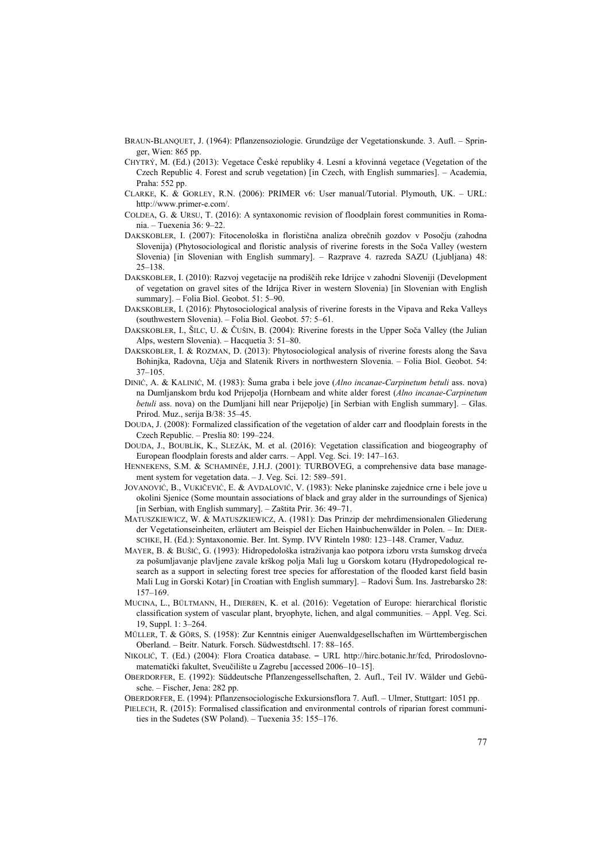- BRAUN-BLANQUET, J. (1964): Pflanzensoziologie. Grundzüge der Vegetationskunde. 3. Aufl. Springer, Wien: 865 pp.
- CHYTRÝ, M. (Ed.) (2013): Vegetace České republiky 4. Lesní a křovinná vegetace (Vegetation of the Czech Republic 4. Forest and scrub vegetation) [in Czech, with English summaries]. – Academia, Praha: 552 pp.
- CLARKE, K. & GORLEY, R.N. (2006): PRIMER v6: User manual/Tutorial. Plymouth, UK. URL: [http://www.primer-e.com/.](http://www.primer-e.com/)
- COLDEA, G. & URSU, T. (2016): A syntaxonomic revision of floodplain forest communities in Romania. – Tuexenia 36: 9–22.
- DAKSKOBLER, I. (2007): Fitocenološka in floristična analiza obrečnih gozdov v Posočju (zahodna Slovenija) (Phytosociological and floristic analysis of riverine forests in the Soča Valley (western Slovenia) [in Slovenian with English summary]. – Razprave 4. razreda SAZU (Ljubljana) 48: 25–138.
- DAKSKOBLER, I. (2010): Razvoj vegetacije na prodiščih reke Idrijce v zahodni Sloveniji (Development of vegetation on gravel sites of the Idrijca River in western Slovenia) [in Slovenian with English summary]. – Folia Biol. Geobot. 51: 5–90.
- DAKSKOBLER, I. (2016): Phytosociological analysis of riverine forests in the Vipava and Reka Valleys (southwestern Slovenia). – Folia Biol. Geobot. 57: 5–61.
- DAKSKOBLER, I., ŠILC, U. & ČUŠIN, B. (2004): Riverine forests in the Upper Soča Valley (the Julian Alps, western Slovenia). – Hacquetia 3: 51–80.
- DAKSKOBLER, I. & ROZMAN, D. (2013): Phytosociological analysis of riverine forests along the Sava Bohinjka, Radovna, Učja and Slatenik Rivers in northwestern Slovenia. – Folia Biol. Geobot. 54: 37–105.
- DINIĆ, A. & KALINIĆ, M. (1983): Šuma graba i bele jove (*Alno incanae*-*Carpinetum betuli* ass. nova) na Dumljanskom brdu kod Prijepolja (Hornbeam and white alder forest (*Alno incanae*-*Carpinetum betuli* ass. nova) on the Dumljani hill near Prijepolje) [in Serbian with English summary]. – Glas. Prirod. Muz., serija B/38: 35–45.
- DOUDA, J. (2008): Formalized classification of the vegetation of alder carr and floodplain forests in the Czech Republic. – Preslia 80: 199–224.
- DOUDA, J., BOUBLÍK, K., SLEZÁK, M. et al. (2016): Vegetation classification and biogeography of European floodplain forests and alder carrs. – Appl. Veg. Sci. 19: 147–163.
- HENNEKENS, S.M. & SCHAMINÉE, J.H.J. (2001): TURBOVEG, a comprehensive data base management system for vegetation data. – J. Veg. Sci. 12: 589–591.
- JOVANOVIĆ, B., VUKIČEVIĆ, E. & AVDALOVIĆ, V. (1983): Neke planinske zajednice crne i bele jove u okolini Sjenice (Some mountain associations of black and gray alder in the surroundings of Sjenica) [in Serbian, with English summary]. – Zaštita Prir. 36: 49–71.
- MATUSZKIEWICZ, W. & MATUSZKIEWICZ, A. (1981): Das Prinzip der mehrdimensionalen Gliederung der Vegetationseinheiten, erläutert am Beispiel der Eichen Hainbuchenwälder in Polen. – In: DIER-SCHKE, H. (Ed.): Syntaxonomie. Ber. Int. Symp. IVV Rinteln 1980: 123–148. Cramer, Vaduz.
- MAYER, B. & BUŠIĆ, G. (1993): Hidropedološka istraživanja kao potpora izboru vrsta šumskog drveća za pošumljavanje plavljene zavale krškog polja Mali lug u Gorskom kotaru (Hydropedological research as a support in selecting forest tree species for afforestation of the flooded karst field basin Mali Lug in Gorski Kotar) [in Croatian with English summary]. – Radovi Šum. Ins. Jastrebarsko 28: 157–169.
- MUCINA, L., BÜLTMANN, H., DIERßEN, K. et al. (2016): Vegetation of Europe: hierarchical floristic classification system of vascular plant, bryophyte, lichen, and algal communities. – Appl. Veg. Sci. 19, Suppl. 1: 3–264.
- MÜLLER, T. & GÖRS, S. (1958): Zur Kenntnis einiger Auenwaldgesellschaften im Württembergischen Oberland. – Beitr. Naturk. Forsch. Südwestdtschl. 17: 88–165.
- NIKOLIĆ, T. (Ed.) (2004): Flora Croatica database. URL [http://hirc.botanic.hr/fcd,](http://hirc.botanic.hr/fcd) Prirodoslovnomatematički fakultet, Sveučilište u Zagrebu [accessed 2006–10–15].
- OBERDORFER, E. (1992): Süddeutsche Pflanzengessellschaften, 2. Aufl., Teil IV. Wälder und Gebüsche. – Fischer, Jena: 282 pp.
- OBERDORFER, E. (1994): Pflanzensociologische Exkursionsflora 7. Aufl. Ulmer, Stuttgart: 1051 pp.
- PIELECH, R. (2015): Formalised classification and environmental controls of riparian forest communities in the Sudetes (SW Poland). – Tuexenia 35: 155–176.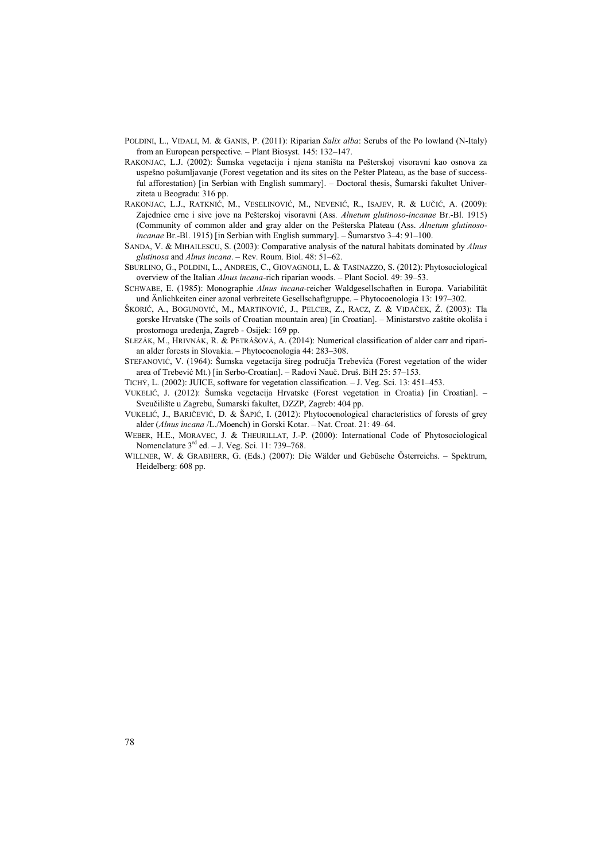- POLDINI, L., VIDALI, M. & GANIS, P. (2011): Riparian *Salix alba*: Scrubs of the Po lowland (N-Italy) from an European perspective. – Plant Biosyst. 145: 132–147.
- RAKONJAC, L.J. (2002): Šumska vegetacija i njena staništa na Pešterskoj visoravni kao osnova za uspešno pošumljavanje (Forest vegetation and its sites on the Pešter Plateau, as the base of successful afforestation) [in Serbian with English summary]. – Doctoral thesis, Šumarski fakultet Univerziteta u Beogradu: 316 pp.
- RAKONJAC, L.J., RATKNIĆ, M., VESELINOVIĆ, M., NEVENIĆ, R., ISAJEV, R. & LUČIĆ, A. (2009): Zajednice crne i sive jove na Pešterskoj visoravni (Ass*. Alnetum glutinoso-incanae* Br.-Bl. 1915) (Community of common alder and gray alder on the Pešterska Plateau (Ass. *Alnetum glutinosoincanae* Br.-Bl. 1915) [in Serbian with English summary]. – Šumarstvo 3–4: 91–100.
- SANDA, V. & MIHAILESCU, S. (2003): Comparative analysis of the natural habitats dominated by *Alnus glutinosa* and *Alnus incana*. – Rev. Roum. Biol. 48: 51–62.
- SBURLINO, G., POLDINI, L., ANDREIS, C., GIOVAGNOLI, L. & TASINAZZO, S. (2012): Phytosociological overview of the Italian *Alnus incana*-rich riparian woods. – Plant Sociol. 49: 39–53.
- SCHWABE, E. (1985): Monographie *Alnus incana*-reicher Waldgesellschaften in Europa. Variabilität und Änlichkeiten einer azonal verbreitete Gesellschaftgruppe. – Phytocoenologia 13: 197–302.
- ŠKORIĆ, A., BOGUNOVIĆ, M., MARTINOVIĆ, J., PELCER, Z., RACZ, Z. & VIDAČEK, Ž. (2003): Tla gorske Hrvatske (The soils of Croatian mountain area) [in Croatian]. – Ministarstvo zaštite okoliša i prostornoga uređenja, Zagreb - Osijek: 169 pp.
- SLEZÁK, M., HRIVNÁK, R. & PETRÁŠOVÁ, A. (2014): Numerical classification of alder carr and riparian alder forests in Slovakia. – Phytocoenologia 44: 283–308.
- STEFANOVIĆ, V. (1964): Šumska vegetacija šireg područja Trebevića (Forest vegetation of the wider area of Trebević Mt.) [in Serbo-Croatian]. – Radovi Nauč. Druš. BiH 25: 57–153.
- TICHÝ, L. (2002): JUICE, software for vegetation classification. J. Veg. Sci. 13: 451–453.
- VUKELIĆ, J. (2012): Šumska vegetacija Hrvatske (Forest vegetation in Croatia) [in Croatian]. Sveučilište u Zagrebu, Šumarski fakultet, DZZP, Zagreb: 404 pp.
- VUKELIĆ, J., BARIČEVIĆ, D. & ŠAPIĆ, I. (2012): Phytocoenological characteristics of forests of grey alder (*Alnus incana* /L./Moench) in Gorski Kotar. – Nat. Croat. 21: 49–64.
- WEBER, H.E., MORAVEC, J. & THEURILLAT, J.-P. (2000): International Code of Phytosociological Nomenclature  $3<sup>rd</sup>$  ed. – J. Veg. Sci. 11: 739–768.
- WILLNER, W. & GRABHERR, G. (Eds.) (2007): Die Wälder und Gebüsche Österreichs. Spektrum, Heidelberg: 608 pp.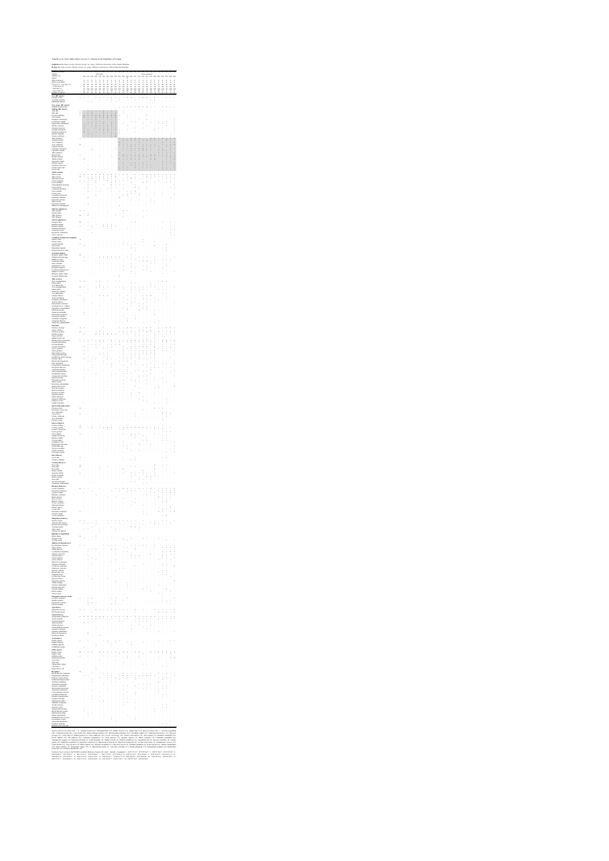Positions of new relevés in the WGS84 Coordinate Reference System (Nr. relevé - Latitude - Longitude): 2 - N45°31'53,3" - E14°38'44,5"; 3 - N45°31'48,3" - E14°38'52,0"; 5 -N45°32'05,0'' - E14°38'42,1''; 6 - N45°31'52,1'' - E14°38'40,8''; 7 - N45°31'55,6'' - E14°38'43,4''; 8 - N45°31'36,6'' - E14°38'01,3; 9 - N45°32'01,9'' - E14°39'11,2''; 10 - N45°26'17,0'' - E14°50'50,6''; 11 - N45°30'17,6'' - E14°47'16,4''; 12 - N45°29'03,7'' - 14°48'19,7''; 14 - N45°28'26,5'' - E14°48'09,4''; 20 - N45°26'52,5'' - E14°52'12,9''; 21 - N45°27'51,7'' - E14°48'24,2''; 22 - N45°27'53,4'' - E14°48'26,8''; 23 - N45°28'29,7'' - E14°53'18,5''; 24 - N45°27'38,3'' - E14°49'43,0''

| Number of relevé<br>Subtype<br>Altitude in m<br>Aspect                                                                        |                  | 430                               | 2<br>536                               | 3<br>530                                 | 4<br>294 538                                          | 5<br>Salix alba                                       | 6<br>536                                                             | 536                                          | 8<br>540                                   | 9<br>535                                                | 10<br>241                                                   | 11<br>250                                            | 12<br>328<br>N                          | 13<br>225                                    | 14<br>237                                   | 15<br>235                    | 16<br>Alnus glutinosa<br>333                     | 17<br>314                                        | 18<br>295                        | 19<br>350                                         | 20<br>242                                | 21<br>244                                      | 22<br>243                           | 23<br>220                                     | 24<br>229                                        |
|-------------------------------------------------------------------------------------------------------------------------------|------------------|-----------------------------------|----------------------------------------|------------------------------------------|-------------------------------------------------------|-------------------------------------------------------|----------------------------------------------------------------------|----------------------------------------------|--------------------------------------------|---------------------------------------------------------|-------------------------------------------------------------|------------------------------------------------------|-----------------------------------------|----------------------------------------------|---------------------------------------------|------------------------------|--------------------------------------------------|--------------------------------------------------|----------------------------------|---------------------------------------------------|------------------------------------------|------------------------------------------------|-------------------------------------|-----------------------------------------------|--------------------------------------------------|
| Slope in degrees<br>Releve area (00m <sup>2</sup> )<br>Cover in %: - tree layer (a)<br>- schrub layer (b)<br>- herb layer (c) |                  | $\boldsymbol{0}$<br>4<br>90<br>30 | 0<br>$\overline{4}$<br>50<br>25<br>100 | $\boldsymbol{0}$<br>3<br>50<br>50<br>100 | $\boldsymbol{0}$<br>$\overline{4}$<br>90<br>30<br>100 | $\boldsymbol{0}$<br>$\overline{4}$<br>80<br>40<br>100 | $\theta$<br>4<br>60<br>40<br>100                                     | $\theta$<br>$\overline{4}$<br>50<br>40<br>95 | $\boldsymbol{0}$<br>4<br>50<br>40          | $\theta$<br>$\overline{4}$<br>50<br>60<br>100           | $\boldsymbol{0}$<br>9<br>75<br>$20\,$<br>100                | $\boldsymbol{0}$<br>$\overline{4}$<br>60<br>80<br>90 | 15<br>$\overline{4}$<br>70<br>35<br>100 | $\boldsymbol{0}$<br>4<br>70<br>35<br>100     | $\boldsymbol{0}$<br>6<br>75<br>50<br>100    | 0<br>4<br>70<br>25<br>100    | $\mathbf{0}$<br>$\overline{4}$<br>75<br>50<br>95 | $\mathbf{0}$<br>$\overline{4}$<br>90<br>60<br>80 | $\theta$<br>4<br>85<br>35<br>100 | $\mathbf{0}$<br>$\overline{4}$<br>90<br>25<br>100 | $\boldsymbol{0}$<br>4<br>95<br>35<br>100 | $\boldsymbol{0}$<br>$\overline{4}$<br>90<br>60 | 0<br>4<br>85<br>30<br>90            | $\Omega$<br>$\overline{4}$<br>80<br>60<br>100 | $\boldsymbol{0}$<br>4<br>80<br>$50\,$<br>100     |
| - moos layer (d)<br>Number of species<br>Ass. diff. species                                                                   |                  | 95<br>5<br>48                     | 2<br>67                                | 3<br>50                                  | $\boldsymbol{0}$<br>48                                | -1<br>46                                              | 5<br>43                                                              | $\mathfrak{Z}$<br>48                         | 100<br>30<br>67                            | 1<br>62                                                 | $\mathbf{1}$<br>52                                          | 25<br>88                                             | 30<br>71                                | 5<br>88                                      | 20<br>96                                    | 10<br>74                     | 10<br>82                                         | 15<br>79                                         | 10<br>56                         | 5<br>70                                           | 50<br>52                                 | 100<br>5<br>92                                 | 5<br>89                             | 3<br>70                                       | $\mathbf{1}$<br>83                               |
| Lamium orvala<br>Scopolia carniolica<br>Filipendula ulmaria                                                                   | $\mathbf c$      |                                   |                                        |                                          |                                                       | $^{+}$                                                | $^{+}$                                                               | $\frac{1}{2}$<br>$^{+}$                      | $^{+}$<br>$^{+}$                           | $^{+}$                                                  | $^{+}$                                                      | $^{+}$                                               | 2                                       | 2                                            | $^{+}$<br>$\overline{+}$                    |                              | 2                                                | $\overline{2}$                                   | $\! +$<br>$^{+}$                 | 2                                                 |                                          |                                                |                                     |                                               |                                                  |
| Var. geogr. diff. species<br>Helleborus dumetorum<br>Subtype diff. species<br>Salix alba                                      | a                |                                   | 3                                      | 3                                        | $^{+}$                                                | $^{+}$                                                | 4                                                                    | $+$                                          |                                            |                                                         |                                                             | $\overline{+}$                                       |                                         |                                              |                                             | $\overline{c}$               |                                                  | $\overline{2}$                                   |                                  |                                                   |                                          |                                                |                                     |                                               |                                                  |
| Salix alba<br>Petasites hybridus<br>Urtica dioica<br>Impatiens noli-tangere                                                   | b<br>$\mathbf c$ | 4<br>$\overline{2}$               | $^{+}$<br>3<br>$^{+}$<br>$^{+}$        | 3<br>3<br>$^{+}$<br>$^{+}$               | $\overline{c}$<br>$\overline{2}$                      | $\mathbf{2}$<br>3                                     | $\overline{2}$<br>$\overline{4}$<br>$\overline{2}$<br>$\overline{+}$ | $^{+}$<br>3<br>$\overline{c}$<br>$^{+}$      | $^{+}$<br>$\overline{4}$<br>$^{+}$<br>$+$  | $\mathbf{1}$<br>$\overline{2}$<br>$\overline{2}$<br>$+$ | $\ddot{\phantom{a}}$<br>$\mathfrak{Z}$<br>$\cdot$<br>$^{+}$ | $+$                                                  | $^{+}$<br>$\ddot{}$                     |                                              |                                             |                              |                                                  |                                                  |                                  |                                                   |                                          |                                                |                                     |                                               |                                                  |
| Lysimachia vulgaris<br>Eupatorium cannabinum<br>Stachys sylvatica<br>Galeopsis speciosa                                       |                  | $^{+}$                            | $^{+}$                                 | $^{+}$<br>$^{+}$<br>$\overline{+}$       | $^{+}$<br>$^{+}$<br>$\overline{2}$                    | $\boldsymbol{+}$<br>$^{+}$<br>$^+$                    | $^{+}$<br>$^{+}$<br>$^{+}$                                           | $\mathbf{1}$<br>$^{+}$                       | $^{+}$<br>1<br>$^{+}$                      | $^+$                                                    | $\ddot{\phantom{0}}$                                        |                                                      |                                         | $^{+}$                                       | $^{+}$<br>$^{+}$                            |                              | $\overline{+}$                                   |                                                  |                                  |                                                   |                                          | $^{+}$<br>$^{+}$                               | 1<br>$^{+}$<br>$\ddot{\phantom{1}}$ |                                               | $\overline{+}$<br>$^{+}$<br>$^{+}$<br>$^{+}$     |
| Lamium maculatum<br>Glechoma hederacea<br>Mentha longifolia<br>Scirpus sylvaticus                                             |                  | $^{+}$<br>$\overline{2}$          | $^{+}$<br>$^{+}$<br>$^{+}$             | $^{+}$<br>$\mathbf{1}$                   | $^{+}$<br>$^{+}$                                      |                                                       |                                                                      | $\overline{2}$                               | $^{+}$<br>$^{+}$<br>1<br>$\mathbf{1}$      | $\mathbf{1}$<br>$\mathbf{1}$<br>$\overline{2}$          | $^{+}$<br>$\mathbf{1}$<br>$^{+}$<br>$\ddot{\phantom{0}}$    |                                                      |                                         |                                              |                                             |                              |                                                  |                                                  |                                  |                                                   |                                          |                                                |                                     |                                               | $\overline{+}$<br>$^{+}$                         |
| Alnus glutinosa<br>Carpinus betulus<br>Acer campestre<br>Acer campestre                                                       | a<br>b           |                                   |                                        |                                          |                                                       |                                                       |                                                                      |                                              |                                            |                                                         | $\overline{\mathbf{3}}$<br>$\overline{c}$<br>$\mathbf{1}$   | $^{+}$<br>1<br>$\overline{+}$                        | 1                                       | 3<br>$\overline{c}$                          | $\overline{a}$<br>$\overline{2}$<br>$^{+}$  | 1<br>3<br>$^{+}$<br>$^{+}$   | 3<br>$\overline{+}$                              | $\overline{2}$                                   | 3                                | 2                                                 | $\overline{+}$<br>$+$                    | $\overline{4}$<br>$+$                          | 3<br>$\overline{c}$<br>$^{+}$       | 3<br>$^{+}$                                   | $\overline{4}$<br>$\mathbf{1}$<br>$\overline{2}$ |
| Carpinus betulus<br>Crataegus monogyna<br>Ligustrum vulgare<br>Alnus glutinosa                                                |                  |                                   |                                        |                                          |                                                       |                                                       |                                                                      |                                              |                                            | $^{+}$                                                  | $^{+}$                                                      | $^{+}$                                               | $\overline{+}$<br>$^{+}$                | $^{+}$                                       | $^{+}$<br>$^{+}$<br>$^{+}$<br>$^{+}$        | 1<br>$^{+}$                  | $\overline{2}$                                   | $^{+}$                                           | $^{+}$<br>$^{+}$<br>$^{+}$       |                                                   | $\overline{+}$<br>$^{+}$<br>$^{+}$       | $^{+}$                                         | $^{+}$                              |                                               | $^{+}$<br>$\overline{+}$                         |
| Hedera helix<br>Knautia drymeia<br>Allium ursinum                                                                             | $\mathbf c$      | 2                                 |                                        |                                          |                                                       |                                                       |                                                                      |                                              |                                            |                                                         | $^{+}$<br>$\sqrt{5}$                                        | $\overline{c}$<br>$^{+}$<br>$^{+}$                   | $^{+}$<br>$^{+}$                        | $^{+}$<br>$\overline{2}$                     | $^{+}$<br>$\overline{1}$                    | 1                            |                                                  | $\mathbf{1}$                                     | $\overline{c}$<br>$^{+}$<br>5    | $\boldsymbol{+}$<br>4                             | $\overline{+}$                           | $^{+}$<br>$^{+}$                               | $\ddot{}$<br>$\overline{+}$         | 2<br>$^{+}$                                   | $\overline{+}$<br>$^{+}$<br>3                    |
| Ligustrum vulgare<br>Primula vulgaris<br>Anemone nemorosa<br>Cirsium oleraceum                                                |                  |                                   |                                        |                                          |                                                       |                                                       |                                                                      |                                              |                                            |                                                         | $^{+}$                                                      | $^{+}$                                               |                                         |                                              |                                             | $\,{}^{+}$<br>$^{+}$         |                                                  |                                                  |                                  |                                                   |                                          | $^{+}$                                         | $^{+}$                              |                                               |                                                  |
| Poa trivialis<br>Alnion incanae<br>Alnus incana<br>Alnus incana                                                               | a<br>b           | 4<br>$^{+}$                       | 3<br>$^{+}$                            | 2<br>$\mathbf{1}$                        | 5<br>1                                                | 4<br>1                                                | 2<br>$\mathbf{1}$                                                    | 3                                            | 4<br>3                                     | 3<br>$\sqrt{2}$                                         |                                                             | 3                                                    | 3<br>$^{+}$                             | $^{+}$                                       | $^{+}$                                      | $^{+}$                       | 2<br>$\overline{+}$                              | 4<br>$\mathfrak{Z}$                              | 3<br>$^{+}$                      | $^{+}$                                            | 5<br>$^{+}$                              | $^{+}$<br>$^{+}$                               | $^{+}$<br>$^{+}$                    | 3                                             | $^{+}$<br>3                                      |
| Viburnum opulus<br>Festuca gigantea<br>Carex brizoides<br>Chaerophyllum hirsutum                                              | $\mathbf c$      | $^{+}$                            | $^{+}$<br>$^{+}$                       | $\sqrt{2}$<br>$+$<br>$^{+}$              | $^{+}$<br>1                                           | $^{+}$<br>$^{+}$                                      | $^{+}$<br>$\overline{+}$<br>$^{+}$                                   | $\ddot{}$<br>$\ddot{\phantom{a}}$            | $^{+}$<br>$\ddot{}$<br>3<br>$\overline{c}$ | $^{+}$<br>$\! + \!\!\!\!$<br>$+$                        | $^{+}$<br>$^{+}$                                            | $^{+}$<br>$\ddot{+}$                                 | $+$<br>$\overline{+}$                   | $\sqrt{2}$<br>1                              | $\ddot{}$                                   | $^{+}$                       | $+$<br>3                                         | $\ddot{}$<br>$\overline{+}$<br>$\ddot{}$         | $\overline{+}$                   | $^{+}$                                            | $\overline{+}$                           | $\ddot{}$                                      | $\ddot{}$<br>$^{+}$                 | $+$                                           | $^{+}$<br>$\mathbf{1}$                           |
| Carex remota<br>Cardamine impatiens<br>Carex pendula<br>Listera ovata                                                         |                  | $^{+}$                            | $+$                                    |                                          | $^{+}$<br>$^{+}$                                      | $^{+}$                                                |                                                                      |                                              | $\ddot{}$<br>$^{+}$<br>$\ddot{}$           | $\! + \!\!\!\!$                                         | $^{+}$                                                      | $^{+}$                                               | $^{+}$<br>$^{+}$                        | $^{+}$<br>$\mathbf{1}$                       | $\mathbf{1}$<br>$\mathfrak{Z}$<br>$\ddot{}$ | $^{+}$<br>$+$<br>$^{+}$      |                                                  | $\overline{+}$                                   |                                  |                                                   |                                          |                                                |                                     |                                               | $^{+}$<br>$+$                                    |
| Cerastium sylvaticum<br>Equisetum telmateia<br>Equisetum pratense<br>Alnus incana                                             |                  |                                   | 2                                      |                                          |                                                       |                                                       |                                                                      |                                              |                                            |                                                         | $\bullet$<br>$\overline{c}$                                 |                                                      |                                         | $^{+}$<br>$^{+}$                             | $\ddot{\phantom{0}}$                        | 1<br>$^{+}$                  |                                                  |                                                  |                                  |                                                   |                                          |                                                |                                     |                                               | $^{+}$                                           |
| Equisetum hyemale<br>Matteuccia struthiopteris<br>Salicetea purpureae                                                         |                  |                                   |                                        |                                          |                                                       |                                                       |                                                                      |                                              |                                            |                                                         |                                                             |                                                      |                                         |                                              |                                             |                              |                                                  |                                                  |                                  |                                                   |                                          |                                                |                                     |                                               |                                                  |
| Salix eleagnos<br>Populus nigra<br>Salix purpurea<br>Salix eleagnos                                                           | $\rm{a}$<br>b    | 1                                 | $\overline{2}$                         |                                          |                                                       |                                                       |                                                                      |                                              |                                            |                                                         |                                                             | $\ddot{}$                                            | $^{+}$                                  |                                              |                                             |                              |                                                  |                                                  |                                  |                                                   |                                          |                                                |                                     |                                               |                                                  |
| Alnetea glutinosae<br>Frangula alnus<br>Humulus lupulus                                                                       | b                |                                   |                                        |                                          | $^{+}$                                                |                                                       |                                                                      |                                              |                                            |                                                         |                                                             |                                                      |                                         |                                              |                                             |                              |                                                  |                                                  |                                  |                                                   |                                          |                                                |                                     |                                               |                                                  |
| Humulus lupulus<br>Solanum dulcamara<br>Cardamine amara<br>Dryopteris carthusiana                                             | $\mathbf c$      |                                   | $^{+}$                                 | $\mathbf{1}$<br>$^{+}$                   |                                                       |                                                       | $\boldsymbol{2}$                                                     | $\mathbf{1}$                                 | $\mathbf{1}$                               |                                                         |                                                             |                                                      |                                         |                                              |                                             |                              |                                                  |                                                  |                                  |                                                   |                                          | $^{+}$                                         |                                     |                                               | $^{+}$<br>$^{+}$                                 |
| Carex vesicaria<br>Carpinion, Erythronio-Carpinion<br>Prunus avium<br>Prunus avium                                            | a                |                                   |                                        |                                          |                                                       |                                                       |                                                                      |                                              |                                            |                                                         |                                                             | $^+$                                                 |                                         |                                              |                                             |                              |                                                  |                                                  |                                  |                                                   |                                          |                                                |                                     |                                               | $^{+}$                                           |
| Carpinus betulus<br>Vinca minor<br>Epimedium alpinum<br>Erythronium dens-canis                                                | $\mathbf c$      | $\mathbf{1}$                      |                                        |                                          |                                                       |                                                       |                                                                      |                                              |                                            |                                                         |                                                             | $^{+}$                                               | $^{+}$                                  | $^{+}$<br>1                                  | $^{+}$                                      |                              |                                                  |                                                  |                                  |                                                   |                                          | $^{+}$                                         | 1                                   |                                               |                                                  |
| Aremonio-Fagion<br>Rhamnus alpinus fallax<br>Stellaria nemorum agg.                                                           | b                | 1                                 |                                        |                                          |                                                       |                                                       | 3                                                                    | $\sqrt{2}$                                   | $^{+}$                                     |                                                         |                                                             |                                                      |                                         |                                              |                                             | $\ddag$                      |                                                  |                                                  |                                  |                                                   |                                          |                                                |                                     |                                               |                                                  |
| Helleborus niger<br>Cardamine trifolia<br>Vicia oroboides<br>Omphalodes verna                                                 |                  | $^{+}$                            |                                        |                                          |                                                       |                                                       |                                                                      |                                              |                                            |                                                         |                                                             | $\overline{+}$                                       |                                         | $\overline{+}$                               | $^{+}$                                      | $^{+}$                       | $^{+}$<br>$\mathbf{1}$<br>$\ddot{}$              | $\overline{2}$<br>$^{+}$                         | $\ddot{}$<br>$^{+}$              | $^{+}$<br>$^{+}$                                  |                                          | $\overline{+}$                                 | $^{+}$                              |                                               |                                                  |
| Hacquetia epipactis<br>Cyclamen purpurascens<br>Helleborus odorus<br>Rhamnus alpinus fallax                                   |                  |                                   |                                        |                                          |                                                       |                                                       |                                                                      |                                              |                                            |                                                         |                                                             | $^{+}$                                               |                                         | $^{+}$                                       | $^{+}$                                      |                              |                                                  | $\overline{+}$                                   |                                  |                                                   |                                          | $^{+}$                                         |                                     |                                               |                                                  |
| Isopyrum thalictroides<br><b>Tilio-Acerion</b><br>Acer pseudoplatanus<br>Ulmus glabra                                         | $\rm{a}$         |                                   |                                        |                                          | $^{+}$                                                |                                                       |                                                                      | $^{+}$                                       |                                            |                                                         | -1                                                          |                                                      |                                         |                                              |                                             |                              |                                                  |                                                  |                                  |                                                   |                                          |                                                |                                     |                                               |                                                  |
| Acer platanoides<br>Acer pseudoplatanus<br>Ulmus glabra                                                                       | b                | $^{+}$                            |                                        |                                          | $\boldsymbol{+}$                                      | $\ddot{}$                                             |                                                                      | $+$                                          |                                            |                                                         | $+$                                                         | $+$                                                  |                                         | $^{+}$<br>$^{+}$                             | $^{+}$<br>$^{+}$                            | $^{+}$<br>$^{+}$             | $+$<br>$\ddot{}$                                 | $^{+}$<br>$\ddot{}$                              | $^{+}$                           | $+$                                               |                                          | $^{+}$<br>$^{+}$                               |                                     |                                               | $+$                                              |
| Euonymus latifolius<br>Acer platanoides<br>Lunaria rediviva<br>Arum maculatum                                                 | $\mathbf c$      | $^{+}$                            |                                        |                                          |                                                       |                                                       |                                                                      |                                              |                                            |                                                         | $^{+}$                                                      | $\overline{+}$                                       |                                         | $^{+}$                                       | $^{+}$                                      | $\ddot{}$                    | $^{+}$<br>$^{+}$                                 | $\mathbf{1}$<br>$\ddot{}$                        | 2                                | $^{+}$                                            |                                          | $\overline{+}$                                 |                                     |                                               |                                                  |
| Geranium robertianum<br>Aruncus dioicus<br>Polystichum aculeatum<br>Aconitum lycoct. vulparia                                 |                  | $^{+}$<br>$^{+}$                  |                                        |                                          |                                                       |                                                       |                                                                      |                                              |                                            |                                                         |                                                             | $^{+}$                                               | $^{+}$<br>$\overline{+}$                | $^{+}$<br>$\overline{+}$<br>$^{+}$           | $^{+}$                                      | $^{+}$<br>$\mathbf{1}$       | $\ddot{}$<br>$^{+}$<br>$+$                       | $\ddot{}$<br>$+$                                 | $\ddot{}$                        | $+$                                               |                                          |                                                |                                     |                                               |                                                  |
| Asplenium scolopendrium<br>Glechoma hirsuta<br>Adoxa moschatellina<br>Polystichum setiferum                                   |                  | $\ddot{}$                         |                                        |                                          |                                                       |                                                       |                                                                      |                                              |                                            |                                                         |                                                             | $\overline{+}$                                       |                                         |                                              |                                             | $\overline{c}$               | $^{+}$                                           | $^{+}$<br>$\overline{+}$                         |                                  |                                                   |                                          |                                                |                                     |                                               |                                                  |
| Euonymus latifolius<br>Aconitum variegatum<br>Cardamine flexuosa<br>Thalictrum aquilegiifolium                                |                  |                                   |                                        |                                          |                                                       |                                                       |                                                                      |                                              |                                            |                                                         |                                                             | $^{+}$                                               | $^{+}$                                  |                                              | $^{+}$<br>$\mathbf{1}$                      |                              |                                                  |                                                  |                                  | $^{+}$                                            |                                          |                                                |                                     |                                               |                                                  |
| Fagetalia<br>Fraxinus excelsior<br>Fagus sylvatica<br>Fraxinus excelsior                                                      | $\rm{a}$<br>b    | $^{+}$                            |                                        |                                          | $^{+}$                                                | $^{+}$                                                | $^{+}$                                                               |                                              |                                            |                                                         |                                                             | 1                                                    | $+$                                     | 2<br>$\mathbf{1}$                            | $\ddot{}$                                   | $\mathbf{1}$<br>$\ddot{}$    | $^{+}$                                           | $\overline{c}$                                   | $\mathbf{1}$                     | $^{+}$                                            | $\overline{2}$                           | $^{+}$                                         | $\ddot{}$                           | 3                                             | $\overline{+}$                                   |
| Sambucus nigra<br>Fagus sylvatica<br>Daphne mezereum<br>Brachypodium sylvaticum                                               |                  | $\mathbf{1}$                      |                                        | $^{+}$                                   | $\sqrt{2}$                                            | $\mathbf{1}$<br>$\overline{2}$                        | $\overline{2}$<br>$\mathbf{1}$                                       | $\sqrt{2}$<br>$+$                            | $\mathbf{1}$<br>$\overline{c}$             | $^{+}$                                                  |                                                             | $\ddot{}$<br>$^{+}$                                  | $\overline{+}$                          | $\overline{c}$                               | $^{+}$<br>$^{+}$<br>$\overline{2}$          | $^{+}$<br>$^{+}$<br>3        | $+$<br>$^{+}$<br>3                               | $^{+}$<br>$^{+}$<br>$\overline{2}$               | $^{+}$                           | $^{+}$<br>$^{+}$<br>$^{+}$<br>$^{+}$              | $\overline{+}$<br>$^{+}$                 | $\! + \!\!\!\!$<br>$\overline{c}$              | $\ddot{}$<br>$\sqrt{2}$             | $\mathbf{1}$                                  | $^{+}$<br>2                                      |
| Lamium galeobdolon<br>Circaea lutetiana<br>Asarum europaeum                                                                   | $\mathbf c$      | $^{+}$                            | $^{+}$                                 | $^{+}$                                   | $^{+}$                                                | $\ddot{}$<br>$^{+}$                                   | $^{+}$                                                               | $^{+}$                                       | $^{+}$<br>$+$                              | $+$                                                     | $\mathbf{1}$<br>$\mathbf{1}$                                | $\ddot{}$                                            |                                         | $\mathbf{1}$                                 | $\ddot{}$<br>$^{+}$                         | $\ddot{}$                    | $^{+}$<br>$+$<br>◠                               | $^{+}$<br>$+$                                    | 1                                |                                                   |                                          | $\sqrt{2}$<br>$\ddot{}$                        | $\sqrt{2}$                          |                                               | $^{+}$<br>$\mathbf{1}$                           |
| Carex sylvatica<br>Salvia glutinosa<br>Mercurialis perennis<br>Pulmonaria officinalis                                         |                  | $^{+}$<br>$\ddot{}$               | $^{+}$                                 |                                          | $^{+}$                                                | $\ddot{}$                                             |                                                                      | $\overline{+}$<br>$^{+}$                     |                                            |                                                         |                                                             | $\overline{+}$                                       | $^{+}$                                  | $^{+}$<br>$^{+}$<br>$^{+}$<br>$\overline{+}$ | $^{+}$<br>$^{+}$<br>$^{+}$<br>$^{+}$        | 1<br>$^{+}$                  |                                                  | $\mathbf{1}$<br>$\ddot{}$                        | $^{+}$<br>$\mathbf{1}$           |                                                   |                                          |                                                | $^{+}$                              |                                               | $^{+}$                                           |
| Symphytum tuberosum agg.<br>Petasites albus<br>Ranunculus lanuginosus<br>Paris quadrifolia                                    |                  | 3                                 | $^{+}$                                 | $^{+}$<br>$\overline{+}$                 |                                                       |                                                       |                                                                      | $^{+}$                                       | $^{+}$<br>$^{+}$                           |                                                         | $^{+}$<br>$^{+}$                                            | $+$<br>$^{+}$<br>$\ddot{+}$                          | $+$<br>$+$<br>$+$                       | 1<br>$^{+}$<br>$^{+}$                        | $^{+}$<br>$^{+}$<br>$^{+}$                  | $^{+}$<br>1                  | $^{+}$                                           | $^{+}$                                           | $^{+}$<br>$^{+}$                 | $^{+}$<br>$\overline{+}$                          |                                          | $^{+}$                                         | $^{+}$                              |                                               | $+$                                              |
| Polygonatum multiflorum<br>Dryopteris filix-mas<br>Cardamine bulbifera<br>Viola reichenbachiana                               |                  | $^{+}$                            | $\overline{+}$                         |                                          |                                                       |                                                       |                                                                      |                                              |                                            |                                                         | $^{+}$                                                      | $\overline{+}$<br>$^{+}$                             | $\ddot{}$<br>$+$<br>$\ddot{}$           | $^{+}$                                       | $\overline{+}$                              | $^{+}$                       | $+$<br>$^{+}$                                    | $\overline{+}$<br>$\ddot{}$                      | $+$<br>1                         |                                                   |                                          |                                                |                                     |                                               | $+$<br>$+$                                       |
| Scrophularia nodosa<br>Campanula trachelium<br>Mycelis muralis<br>Phyteuma spicatum                                           |                  | $^{+}$                            |                                        |                                          |                                                       |                                                       |                                                                      |                                              |                                            |                                                         |                                                             | $+$<br>$\ddot{+}$                                    | $\ddot{}$                               | $^{+}$<br>$\mathbf{1}$                       | $^{+}$                                      | $^{+}$<br>$^{+}$             |                                                  | $^{+}$                                           |                                  | $^{+}$                                            |                                          |                                                |                                     |                                               |                                                  |
| Melica nutans<br>Heracleum sphondylium<br>Ranunculus ficaria<br>Sanicula europaea                                             |                  |                                   |                                        |                                          |                                                       |                                                       |                                                                      |                                              |                                            |                                                         |                                                             |                                                      |                                         |                                              | $\overline{+}$                              | $^{+}$                       |                                                  | $\overline{+}$                                   |                                  |                                                   |                                          |                                                |                                     |                                               | $\overline{c}$                                   |
| Bromus benekenii<br>Fraxinus excelsior<br>Euphorbia dulcis<br>Lilium martagon                                                 |                  |                                   |                                        |                                          |                                                       |                                                       |                                                                      |                                              |                                            |                                                         |                                                             |                                                      |                                         |                                              |                                             |                              |                                                  |                                                  |                                  |                                                   |                                          |                                                |                                     |                                               |                                                  |
| Epipactis helleborine<br>Lathyrus vernus<br>Galium odoratum                                                                   |                  |                                   |                                        |                                          |                                                       |                                                       |                                                                      |                                              |                                            |                                                         |                                                             |                                                      |                                         |                                              |                                             | $^{+}$                       |                                                  |                                                  |                                  |                                                   |                                          |                                                |                                     |                                               |                                                  |
| Quercetalia pubescentis<br>Fraxinus ornus<br>Euonymus verrucosus<br>Acer obtusatum                                            | $\mathbf b$      |                                   |                                        |                                          |                                                       |                                                       |                                                                      |                                              |                                            |                                                         |                                                             |                                                      |                                         |                                              |                                             |                              |                                                  |                                                  |                                  |                                                   |                                          |                                                |                                     |                                               |                                                  |
| Carex flacca<br>Tamus communis<br>Acer obtusatum<br>Fraxinus ornus                                                            | $\mathbf c$      |                                   |                                        |                                          |                                                       |                                                       |                                                                      |                                              |                                            |                                                         |                                                             |                                                      |                                         |                                              |                                             |                              |                                                  |                                                  |                                  |                                                   |                                          | $^{+}$                                         | $\ddot{}$                           |                                               |                                                  |
| Querco-Fagetea<br>Corylus avellana<br>Corylus avellana<br>Lonicera xylosteum                                                  | a<br>$\mathbf b$ |                                   | $^{+}$                                 | $\overline{2}$                           |                                                       | $\ddot{}$                                             |                                                                      | $\overline{c}$                               |                                            |                                                         | $\ddot{}$                                                   | $\overline{2}$<br>$\ddot{}$                          | $\overline{c}$                          | $\sqrt{2}$                                   | $\overline{2}$                              | $\overline{c}$               | 3                                                |                                                  | $\ddot{}$                        | $\overline{2}$<br>$^{+}$                          |                                          | $^{+}$                                         |                                     |                                               |                                                  |
| Pyrus pyraster<br>Carex digitata<br>Galium sylvaticum<br>Hepatica nobilis                                                     | ${\bf c}$        |                                   |                                        |                                          |                                                       |                                                       |                                                                      |                                              |                                            |                                                         |                                                             |                                                      |                                         | $^{+}$                                       |                                             |                              |                                                  |                                                  |                                  |                                                   |                                          | $^{+}$<br>$^{+}$<br>$+$                        | $^{+}$<br>$\ddot{}$                 |                                               |                                                  |
| Cruciata glabra<br>Galanthus nivalis<br>Ranunculus auricomus                                                                  |                  |                                   |                                        |                                          |                                                       |                                                       |                                                                      |                                              |                                            |                                                         |                                                             |                                                      |                                         | $^{+}$                                       |                                             |                              |                                                  |                                                  |                                  |                                                   |                                          |                                                |                                     |                                               | $^{+}$                                           |
| Scilla bifolia agg.<br>Veronica montana<br>Galium schultesii<br>Leucojum vernum                                               |                  |                                   |                                        |                                          |                                                       |                                                       |                                                                      |                                              |                                            |                                                         |                                                             |                                                      |                                         | $^{+}$                                       |                                             |                              |                                                  |                                                  |                                  |                                                   |                                          |                                                |                                     |                                               | $^{+}$<br>$+$                                    |
| Erico-Pinetea<br>Carex alba<br>Cirsium erisithales                                                                            | ${\bf c}$        |                                   |                                        |                                          |                                                       |                                                       |                                                                      |                                              |                                            |                                                         |                                                             | $^{+}$                                               |                                         | $^{+}$                                       | $^{+}$                                      |                              |                                                  |                                                  |                                  |                                                   |                                          |                                                |                                     |                                               |                                                  |
| Vaccinio-Piceetea<br>Picea abies<br>Abies alba<br>Picea abies                                                                 | a<br>$\mathbf b$ |                                   |                                        |                                          |                                                       |                                                       |                                                                      |                                              |                                            |                                                         |                                                             |                                                      |                                         |                                              |                                             |                              |                                                  |                                                  |                                  | 2                                                 |                                          |                                                |                                     |                                               |                                                  |
| Rubus saxatilis<br>Aposeris foetida<br>Oxalis acetosella<br>Rubus saxatilis                                                   | $\mathbf c$      |                                   |                                        |                                          |                                                       |                                                       |                                                                      |                                              |                                            |                                                         |                                                             |                                                      |                                         |                                              | $^{+}$<br>$^{+}$                            | $^{+}$<br>$\! + \!\!\!\!$    | $+$                                              | $^{+}$<br>1                                      | 1                                |                                                   |                                          |                                                |                                     |                                               |                                                  |
| Abies alba<br>Veronica urticifolia<br>Streptopus amplexifolius<br>Rhamno-Prunetea                                             |                  |                                   |                                        |                                          |                                                       |                                                       |                                                                      |                                              |                                            |                                                         |                                                             |                                                      |                                         |                                              | $+$                                         | $^{+}$                       | $^{+}$<br>$^{+}$                                 |                                                  | $\overline{+}$                   |                                                   |                                          |                                                |                                     |                                               |                                                  |
| Cornus sanguinea<br>Euonymus europaeus<br>Clematis vitalba<br>Rhamnus cathartica                                              | b                | $^{+}$<br>$^{+}$                  |                                        |                                          |                                                       |                                                       |                                                                      |                                              |                                            |                                                         | $^{+}$                                                      | 2                                                    | $^{+}$                                  | $\mathbf{1}$                                 | $^{+}$<br>$^{+}$                            |                              |                                                  | $^{+}$                                           | 2<br>$^{+}$<br>$\ddot{}$         |                                                   | $\mathbf{1}$                             | $\! + \!\!\!\!$<br>$+$                         | $^{+}$<br>$^{+}$<br>$+$             |                                               | $\overline{+}$                                   |
| Rubus plicatus<br>Rosa arvensis<br>Berberis vulgaris<br>Prunus cerasifera                                                     |                  |                                   |                                        |                                          |                                                       |                                                       |                                                                      |                                              |                                            |                                                         |                                                             |                                                      |                                         |                                              | $^{+}$                                      |                              |                                                  |                                                  |                                  |                                                   | 3                                        | $^{+}$<br>$^{+}$<br>$^{+}$                     | $^{+}$<br>$\overline{+}$            | $^{+}$                                        |                                                  |
| Viburnum lantana<br>Prunus spinosa<br>Cornus mas<br>Euonymus europaeus                                                        | $\mathbf c$      |                                   |                                        |                                          |                                                       |                                                       |                                                                      |                                              |                                            |                                                         |                                                             |                                                      |                                         |                                              |                                             |                              |                                                  |                                                  |                                  |                                                   | 2                                        |                                                | $^{+}$                              | 2<br>1                                        | 2                                                |
| Clematis vitalba<br>Cornus sanguinea<br>Mulgedio-Aconitetea                                                                   |                  |                                   |                                        |                                          |                                                       |                                                       |                                                                      |                                              |                                            |                                                         |                                                             |                                                      |                                         |                                              |                                             |                              |                                                  |                                                  |                                  |                                                   |                                          |                                                |                                     |                                               |                                                  |
| Senecio ovatus<br>Athyrium filix-femina<br>Doronicum austriacum<br>Veratrum album                                             | $\mathbf c$      | $^{+}$                            | $+$                                    | $+$                                      | $^{+}$                                                |                                                       |                                                                      | $+$                                          |                                            | $^{+}$                                                  | $^{+}$                                                      | $^{+}$                                               |                                         | $^{+}$<br>$\sqrt{2}$                         | $^{+}$<br>$\overline{2}$                    | $^{+}$<br>$\ddot{}$          |                                                  |                                                  | $^{+}$                           |                                                   | $\overline{+}$                           |                                                |                                     |                                               |                                                  |
| Silene dioica<br>Adenostyles alliariae<br>Epilobietea angustifolii<br>Rubus idaeus                                            | $\mathbf b$      | $^{+}$<br>$\ddot{\phantom{a}}$    | $+$                                    |                                          |                                                       |                                                       |                                                                      |                                              |                                            |                                                         |                                                             |                                                      |                                         |                                              |                                             | $^{+}$                       |                                                  |                                                  |                                  |                                                   |                                          |                                                |                                     |                                               |                                                  |
| Fragaria vesca<br>Arctium minus<br>Molinio-Arrhenatheretea                                                                    |                  | $^{+}$                            |                                        |                                          |                                                       |                                                       |                                                                      |                                              |                                            |                                                         |                                                             | $^{+}$<br>$^{+}$                                     |                                         | $^{+}$                                       |                                             |                              |                                                  |                                                  |                                  |                                                   |                                          |                                                |                                     |                                               |                                                  |
| Deschampsia cespitosa<br>Ajuga reptans<br>Caltha palustris<br>Lysimachia nummularia                                           | $\mathbf c$      | $^{+}$                            | $^{+}$                                 | $^{+}$                                   | $^{+}$                                                |                                                       |                                                                      |                                              | 1                                          | 1                                                       | $\ddot{\phantom{a}}$                                        | $^{+}$<br>$^{+}$                                     | $+$                                     |                                              | $^{+}$<br>3                                 |                              |                                                  |                                                  |                                  | $+$                                               |                                          | $^{+}$                                         |                                     | $^{+}$<br>$\overline{c}$                      | $+$<br>$^{+}$<br>$\overline{c}$                  |
| Angelica sylvestris<br>Valeriana dioica<br>Crepis paludosa<br>Juncus effusus                                                  |                  |                                   | $^{+}$<br>$^{+}$                       |                                          | $^{+}$                                                |                                                       |                                                                      |                                              |                                            |                                                         |                                                             |                                                      |                                         | $^{+}$<br>1<br>$^{+}$                        | $\overline{+}$                              | $\mathbf{1}$                 |                                                  |                                                  |                                  |                                                   |                                          | $\! + \!$<br>2<br>$^{+}$                       | $+$<br>$\ddot{}$                    | $^{+}$                                        | $+$<br>$^{+}$                                    |
| Myosotis scorpioides<br>Valeriana officinalis<br>Colchicum autumnale<br>Anthriscus sylvestris                                 |                  |                                   | $^{+}$                                 |                                          |                                                       |                                                       |                                                                      |                                              | $^{+}$                                     | $^{+}$                                                  |                                                             | $^{+}$<br>$^{+}$                                     |                                         |                                              |                                             |                              |                                                  |                                                  |                                  |                                                   |                                          | $^{+}$<br>$^{+}$                               | $+$                                 |                                               | $\mathbf{1}$                                     |
| Lythrum salicaria<br>Ranunculus acris<br>Pimpinella major<br>Lychnis flos-cuculi                                              |                  |                                   | $^{+}$                                 |                                          |                                                       |                                                       |                                                                      |                                              |                                            | $^{+}$                                                  |                                                             |                                                      |                                         |                                              |                                             |                              |                                                  |                                                  |                                  |                                                   |                                          | $^{+}$<br>$^{+}$<br>$^{+}$                     | $^{+}$<br>$+$<br>$+$                |                                               | $+$                                              |
| Glyceria striata<br>Equisetum palustre<br>Galium mollugo<br>Veronica chamaedrys                                               |                  |                                   |                                        |                                          |                                                       |                                                       |                                                                      |                                              |                                            | $^{+}$                                                  |                                                             |                                                      | $\! + \!\!\!\!$<br>$\,+\,$              |                                              |                                             |                              | $\ddot{\phantom{0}}$                             |                                                  |                                  |                                                   |                                          |                                                |                                     |                                               |                                                  |
| Dactylis glomerata<br>Prunella vulgaris<br>Holcus lanatus<br>Juncus tenuis                                                    |                  |                                   |                                        |                                          |                                                       |                                                       |                                                                      |                                              |                                            |                                                         |                                                             |                                                      | $^{+}$                                  |                                              |                                             |                              | $^{+}$                                           |                                                  | $\hspace{0.1mm} +$               |                                                   |                                          |                                                |                                     |                                               |                                                  |
| Phragmiti-Caricetea elatae<br>Lycopus europaeus<br>Mentha aquatica<br>Phragmites australis                                    | $\mathbf c$      |                                   | $^{+}$<br>3                            | 1                                        | $^{+}$                                                |                                                       |                                                                      |                                              |                                            | $^{+}$<br>$^{+}$                                        |                                                             | $\ddot{}$                                            | $^{+}$                                  |                                              |                                             |                              |                                                  |                                                  |                                  |                                                   |                                          | $^{+}$                                         | $^{+}$                              |                                               |                                                  |
| Glyceria fluitans<br>Agrostietea<br>Equisetum arvense                                                                         | $\mathbf c$      |                                   | $^{+}$                                 |                                          | 2                                                     |                                                       |                                                                      |                                              |                                            |                                                         |                                                             |                                                      |                                         |                                              |                                             |                              |                                                  |                                                  |                                  |                                                   |                                          |                                                |                                     |                                               | 2                                                |
| Ranunculus repens<br>Galio-Urticetea<br>Aegopodium podagraria<br>Geum urbanum                                                 | $\mathbf c$      | 2                                 | 2                                      | $^{+}$<br>2<br>$\ddot{}$                 | 2<br>$\mathbf{1}$                                     | 2<br>$\ddot{}$                                        | 2<br>$\ddot{}$                                                       | $\ddot{+}$                                   | $\overline{+}$                             |                                                         | $\ddot{}$                                                   | $^{+}$                                               | 2                                       |                                              | $\ddot{}$                                   | 1                            | $^{+}$                                           | $\ddot{+}$                                       | 2<br>$\overline{+}$              |                                                   | $\mathbf{1}$<br>$\overline{2}$           | $\ddot{}$<br>$^{+}$                            | $\mathbf{1}$<br>$^{+}$              | $^{+}$<br>$^{+}$                              | $\mathbf{1}$<br>$+$                              |
| Geranium phaeum<br>Alliaria petiolata<br>Telekia speciosa                                                                     |                  | 2                                 |                                        |                                          |                                                       |                                                       |                                                                      |                                              |                                            |                                                         | $+$                                                         | $\overline{+}$                                       |                                         |                                              | $^{+}$                                      | $\ddot{+}$<br>$\overline{+}$ | $+$                                              | $\rightarrow$                                    |                                  |                                                   |                                          |                                                |                                     |                                               |                                                  |
| Chaerophyllum temulum<br>Lapsana communis<br>Impatiens glandulifera<br>Myosoton aquaticum                                     |                  |                                   | $\overline{2}$                         |                                          |                                                       |                                                       |                                                                      |                                              |                                            |                                                         |                                                             |                                                      |                                         |                                              |                                             |                              | $^{+}$                                           |                                                  |                                  |                                                   |                                          |                                                |                                     |                                               |                                                  |
| Sambucus ebulus<br>Artemisietea<br>Galium aparine<br>Erigeron annuus                                                          | $\mathbf c$      |                                   |                                        |                                          |                                                       |                                                       |                                                                      | $^{+}$<br>$^{+}$                             |                                            | $^{+}$                                                  |                                                             |                                                      |                                         |                                              |                                             |                              |                                                  |                                                  |                                  |                                                   |                                          |                                                |                                     |                                               |                                                  |
| Solidago gigantea<br>Chelidonium majus<br>Other species                                                                       |                  | $^{+}$                            |                                        |                                          | $^{+}$                                                |                                                       |                                                                      |                                              | $^{+}$                                     |                                                         |                                                             |                                                      |                                         |                                              |                                             |                              |                                                  |                                                  |                                  |                                                   |                                          |                                                |                                     |                                               |                                                  |
| Rubus caesius<br>Juglans regia<br>Stellaria media<br>Rudbeckia laciniata                                                      | b<br>$\mathbf c$ | $\overline{+}$                    |                                        | 3                                        |                                                       | 3                                                     | 3                                                                    | 3                                            |                                            | 2<br>$^{+}$                                             | $^{+}$                                                      | 2<br>$^{+}$                                          | 3<br>$\ddot{\phantom{1}}$               |                                              |                                             | 2<br>$^{+}$                  | $^{+}$                                           |                                                  | 2                                |                                                   | 2                                        | 3<br>$^{+}$                                    | 2                                   | $^{+}$                                        | 3<br>$\overline{2}$                              |
| Carex hirta<br>Viola hirta<br>Clinopodium vulgare<br>Carex flava                                                              |                  |                                   |                                        |                                          |                                                       |                                                       |                                                                      |                                              |                                            | $^{+}$                                                  |                                                             |                                                      |                                         |                                              |                                             |                              |                                                  |                                                  |                                  |                                                   |                                          |                                                |                                     |                                               |                                                  |
| Rubus hirtus s.lat.<br><b>Bryophyta</b><br>Brachythecium rutabulum<br>Plagiomnium undulatum                                   | d                | $\ddot{}$                         | $\overline{+}$                         |                                          | 3                                                     |                                                       |                                                                      | $^{+}$                                       | $^{+}$                                     |                                                         | $^{+}$<br>$\ddot{}$                                         | $\sqrt{2}$                                           | $\overline{c}$                          | $^{+}$                                       | $\ddot{}$                                   |                              |                                                  | $\overline{c}$                                   | $\mathbf{1}$                     | $^{+}$                                            |                                          |                                                |                                     |                                               |                                                  |
| Hypnum cupressiforme<br>Isothecium alopecuroides<br>Atrichum undulatum<br>Anomodon attenuatus                                 |                  |                                   |                                        |                                          |                                                       | $\ddot{}$                                             |                                                                      | $^{+}$<br>$^{+}$                             | $\ddot{}$<br>$^{+}$                        |                                                         | $\ddot{}$<br>$^{+}$                                         | $\mathbf{1}$                                         | $\mathbf{1}$                            |                                              | $\overline{1}$<br>$+$                       | $\ddot{}$                    |                                                  |                                                  |                                  |                                                   |                                          | $^{+}$                                         | $\mathbf{1}$                        |                                               |                                                  |
| Neckera complanata<br>Rhizomnium punctatum<br>Anomodon viticulosus<br>Conocephalum conicum                                    |                  |                                   |                                        |                                          |                                                       |                                                       |                                                                      |                                              |                                            |                                                         |                                                             |                                                      |                                         |                                              |                                             |                              |                                                  |                                                  |                                  |                                                   |                                          | $^{+}$<br>$^{+}$                               | $^{+}$<br>$\ddot{}$                 |                                               |                                                  |
| Ctenidium molluscum<br>Homalia trichomanoides<br>Fissidens bryoides<br>Plagiomnium affine                                     |                  |                                   |                                        |                                          |                                                       | $^{+}$                                                |                                                                      |                                              |                                            |                                                         |                                                             | $^{+}$<br>$\overline{+}$                             |                                         |                                              |                                             |                              |                                                  |                                                  |                                  |                                                   |                                          | $^{+}$                                         | $^{+}$                              |                                               | $^{+}$                                           |
| Alleniella complanata<br>Tortela tortuosa<br>Neckera crispa                                                                   |                  |                                   |                                        |                                          |                                                       |                                                       |                                                                      |                                              |                                            |                                                         |                                                             |                                                      |                                         |                                              |                                             |                              |                                                  |                                                  |                                  |                                                   |                                          | $+$                                            |                                     |                                               |                                                  |
| Plagiomnium medium<br>Brachythecium rivulare<br>Orthotrichum affine<br>Mnium marginatum<br>Homalothecium sericeum             |                  | $^{+}$<br>$^{+}$                  | $^{+}$                                 |                                          |                                                       |                                                       |                                                                      |                                              |                                            |                                                         |                                                             |                                                      |                                         |                                              |                                             |                              |                                                  |                                                  |                                  |                                                   |                                          |                                                |                                     |                                               |                                                  |
| Exsertotheca crispa<br>Climacium dendroides<br>Fissidens taxifolius<br>Plagiothecium nemorale                                 |                  |                                   |                                        |                                          |                                                       |                                                       |                                                                      |                                              |                                            |                                                         |                                                             |                                                      |                                         |                                              |                                             |                              |                                                  |                                                  |                                  |                                                   |                                          |                                                |                                     |                                               |                                                  |

Species noted in one relevé with + : b - Populus tremula (22), Tilia platyphyllos (23), Daphne laureola (16), Juglans nigra (21), Quercus petraea (20), c - Veronica serpyllifolia (20), Campanula patula (20), Carex buekii (24), Alisma plantago-aquatica (22), Brachypodium pinnatum (22), Convallaria majalis (22), Asplenium trichomanes (11), Myosotis arvensis (11), Carex elata (2), Galium palustre (2), Carex pallescens (23), Crocus vernus agg. (23), Senecio sarracenicus (18), Vicia sepium (5), Cardamine waldsteinii (10), Orchis militaris (16), Poa palustris (16), Cardamine enneaphyllos (13), Torilis japonica (13), Aquilegia vulgaris (13), Allium carinatum (16), Calamintha grandiflora (16), Calamagrostis epigejos (9), Equisetum fluviatile (9), Luzula luzuloides (9), Molinia caerulea (9), Phalaris arundinacea (9), Laserpitium siler (8), Agrostis stolonifera (8), Cirsium palustre (8), Epilobium montanum (8), Equisetum sylvaticum (8), Hypericum perforatum (8), Hypericum tetrapterum (8), Arctium nemorosum (3), Cardaminopsis arenosa (15), Crepis biennis (15), Vicia sylvatica (15), Silene vulgaris (17), Gentiana asclepiadea (17), Myosotis species (4), Pteridium aquilinum (4), Actaea spicata (19), Galium rotundifolium (19), Melica uniflora (19), Polypodium vulgare (19), d - Plagiomnium elatum (2), Leucodon sciruoides (11), Porella platyphylla (11), Caliorgonella cuspidata (14), Polytrichum formosum (21), Fissidens adianthoides (22)

## **Supplement S1.** *Lamio orvalae* -*Alnetum incanae* var. geogr. *Helleborus dumetorum* in the Croatian Dinarides.

**Beilage S1.** *Lamio orvalae* -*Alnetum incanae* var. geogr. *Helleborus dumetorum* in den kroatischen Dinariden.